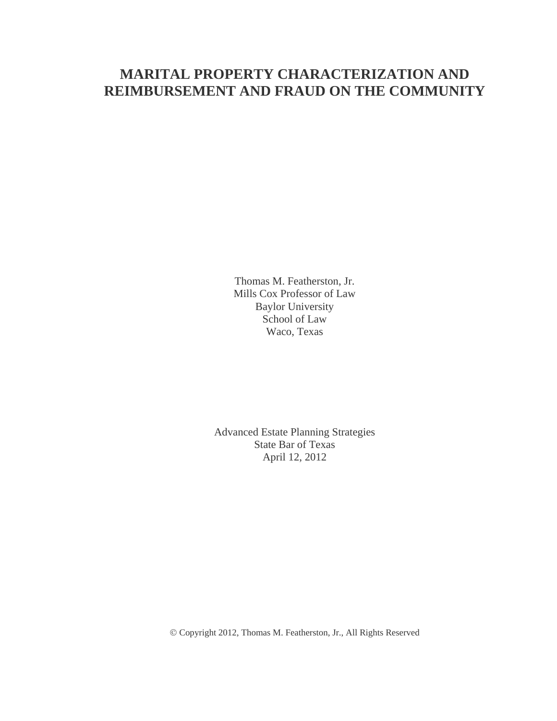# **MARITAL PROPERTY CHARACTERIZATION AND REIMBURSEMENT AND FRAUD ON THE COMMUNITY**

Thomas M. Featherston, Jr. Mills Cox Professor of Law Baylor University School of Law Waco, Texas

Advanced Estate Planning Strategies State Bar of Texas April 12, 2012

Copyright 2012, Thomas M. Featherston, Jr., All Rights Reserved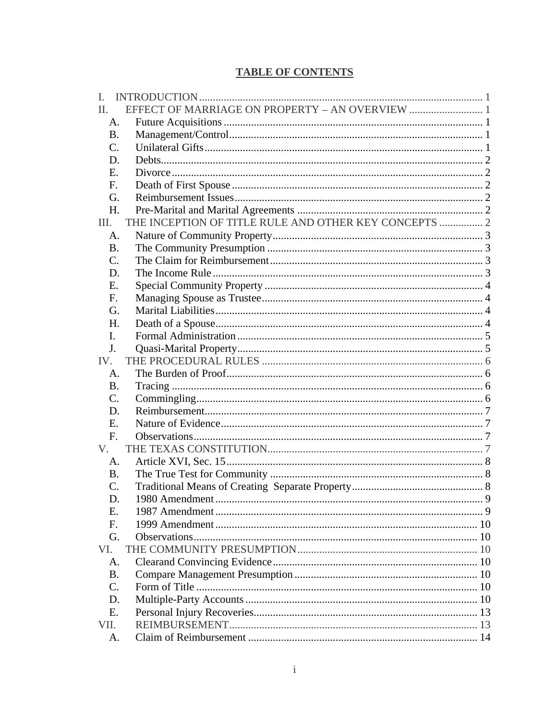# **TABLE OF CONTENTS**

| I.              |                                                       |   |
|-----------------|-------------------------------------------------------|---|
| II.             | EFFECT OF MARRIAGE ON PROPERTY - AN OVERVIEW  1       |   |
| A.              |                                                       |   |
| <b>B.</b>       |                                                       |   |
| $\mathcal{C}$ . |                                                       |   |
| D.              |                                                       |   |
| E.              |                                                       |   |
| F.              |                                                       |   |
| G.              |                                                       |   |
| H.              |                                                       |   |
| III.            | THE INCEPTION OF TITLE RULE AND OTHER KEY CONCEPTS  2 |   |
| A.              |                                                       |   |
| B.              |                                                       |   |
| C.              |                                                       |   |
| D.              |                                                       |   |
| E.              |                                                       |   |
| F.              |                                                       |   |
| G.              |                                                       |   |
| Н.              |                                                       |   |
| I.              |                                                       |   |
| J.              |                                                       |   |
| IV.             |                                                       |   |
| A.              |                                                       |   |
| <b>B.</b>       |                                                       |   |
| C.              |                                                       |   |
| D.              |                                                       |   |
| E.              |                                                       |   |
| F.              |                                                       |   |
| $V_{\cdot}$     |                                                       |   |
| A.              |                                                       |   |
| <b>B.</b>       |                                                       |   |
| $\mathcal{C}$ . |                                                       |   |
| D.              | 1980 Amendment                                        | 9 |
| Ε.              |                                                       |   |
| F.              |                                                       |   |
| G.              |                                                       |   |
| VI.             |                                                       |   |
| A.              |                                                       |   |
| <b>B.</b>       |                                                       |   |
| $C_{\cdot}$     |                                                       |   |
| D.              |                                                       |   |
| E.              |                                                       |   |
| VII.            |                                                       |   |
| A.              |                                                       |   |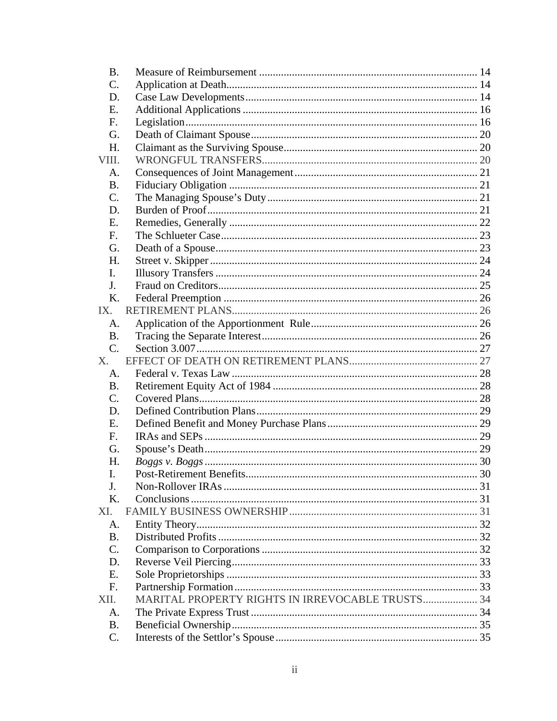| <b>B.</b>      |                                                  |  |
|----------------|--------------------------------------------------|--|
| $\mathbf{C}$ . |                                                  |  |
| D.             |                                                  |  |
| E.             |                                                  |  |
| F.             |                                                  |  |
| G.             |                                                  |  |
| H.             |                                                  |  |
| VIII.          |                                                  |  |
| A.             |                                                  |  |
| <b>B.</b>      |                                                  |  |
| $\mathbf{C}$ . |                                                  |  |
| D.             |                                                  |  |
| E.             |                                                  |  |
| $F_{\cdot}$    |                                                  |  |
| G.             |                                                  |  |
| H.             |                                                  |  |
| L.             |                                                  |  |
| J.             |                                                  |  |
| K.             |                                                  |  |
| IX.            |                                                  |  |
| A.             |                                                  |  |
| $\mathbf{B}$ . |                                                  |  |
| $C_{\cdot}$    |                                                  |  |
| X.             |                                                  |  |
| A.             |                                                  |  |
| <b>B.</b>      |                                                  |  |
| $C_{\cdot}$    |                                                  |  |
| D.             |                                                  |  |
| E.             |                                                  |  |
| $F_{\cdot}$    |                                                  |  |
| G.             |                                                  |  |
| H.             |                                                  |  |
| Τ              | Post-Retirement Benefits                         |  |
| J.             |                                                  |  |
| K.             |                                                  |  |
| XI.            |                                                  |  |
| A.             |                                                  |  |
| <b>B.</b>      |                                                  |  |
| $C_{\cdot}$    |                                                  |  |
| D.             |                                                  |  |
| E.             |                                                  |  |
| F.             |                                                  |  |
| XII.           | MARITAL PROPERTY RIGHTS IN IRREVOCABLE TRUSTS 34 |  |
|                |                                                  |  |
| A.             |                                                  |  |
| B.             |                                                  |  |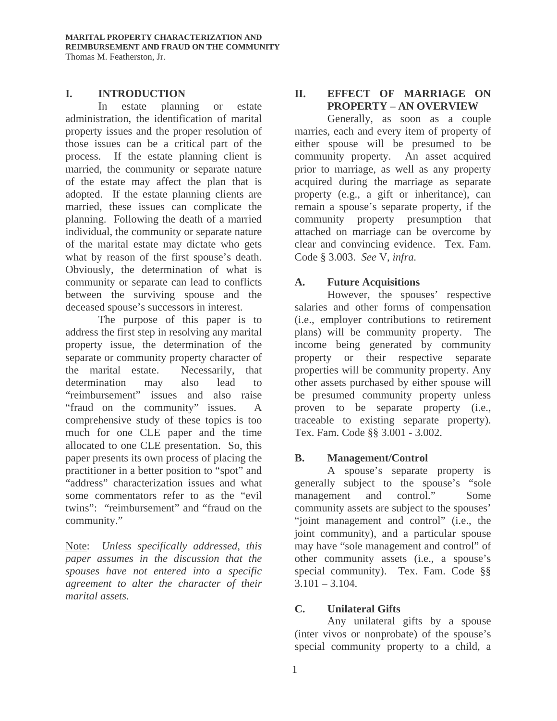#### **I. INTRODUCTION**

In estate planning or estate administration, the identification of marital property issues and the proper resolution of those issues can be a critical part of the process. If the estate planning client is married, the community or separate nature of the estate may affect the plan that is adopted. If the estate planning clients are married, these issues can complicate the planning. Following the death of a married individual, the community or separate nature of the marital estate may dictate who gets what by reason of the first spouse's death. Obviously, the determination of what is community or separate can lead to conflicts between the surviving spouse and the deceased spouse's successors in interest.

The purpose of this paper is to address the first step in resolving any marital property issue, the determination of the separate or community property character of the marital estate. Necessarily, that determination may also lead to "reimbursement" issues and also raise "fraud on the community" issues. A comprehensive study of these topics is too much for one CLE paper and the time allocated to one CLE presentation. So, this paper presents its own process of placing the practitioner in a better position to "spot" and "address" characterization issues and what some commentators refer to as the "evil twins": "reimbursement" and "fraud on the community."

Note: *Unless specifically addressed, this paper assumes in the discussion that the spouses have not entered into a specific agreement to alter the character of their marital assets.* 

# **II. EFFECT OF MARRIAGE ON PROPERTY – AN OVERVIEW**

Generally, as soon as a couple marries, each and every item of property of either spouse will be presumed to be community property. An asset acquired prior to marriage, as well as any property acquired during the marriage as separate property (e.g., a gift or inheritance), can remain a spouse's separate property, if the community property presumption that attached on marriage can be overcome by clear and convincing evidence. Tex. Fam. Code § 3.003. *See* V, *infra.* 

# **A. Future Acquisitions**

However, the spouses' respective salaries and other forms of compensation (i.e., employer contributions to retirement plans) will be community property. The income being generated by community property or their respective separate properties will be community property. Any other assets purchased by either spouse will be presumed community property unless proven to be separate property (i.e., traceable to existing separate property). Tex. Fam. Code §§ 3.001 - 3.002.

# **B. Management/Control**

A spouse's separate property is generally subject to the spouse's "sole management and control." Some community assets are subject to the spouses' "joint management and control" (i.e., the joint community), and a particular spouse may have "sole management and control" of other community assets (i.e., a spouse's special community). Tex. Fam. Code §§  $3.101 - 3.104$ .

# **C. Unilateral Gifts**

Any unilateral gifts by a spouse (inter vivos or nonprobate) of the spouse's special community property to a child, a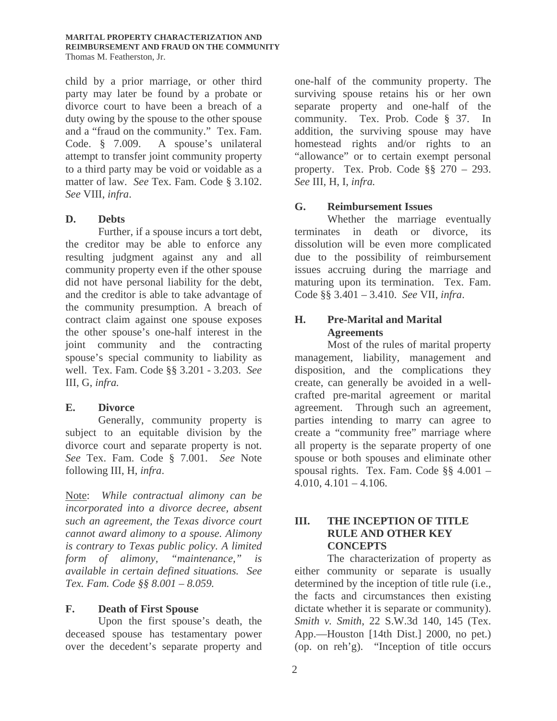#### **MARITAL PROPERTY CHARACTERIZATION AND REIMBURSEMENT AND FRAUD ON THE COMMUNITY** Thomas M. Featherston, Jr.

child by a prior marriage, or other third party may later be found by a probate or divorce court to have been a breach of a duty owing by the spouse to the other spouse and a "fraud on the community." Tex. Fam. Code. § 7.009. A spouse's unilateral attempt to transfer joint community property to a third party may be void or voidable as a matter of law. *See* Tex. Fam. Code § 3.102. *See* VIII, *infra*.

#### **D. Debts**

Further, if a spouse incurs a tort debt, the creditor may be able to enforce any resulting judgment against any and all community property even if the other spouse did not have personal liability for the debt, and the creditor is able to take advantage of the community presumption. A breach of contract claim against one spouse exposes the other spouse's one-half interest in the joint community and the contracting spouse's special community to liability as well. Tex. Fam. Code §§ 3.201 - 3.203. *See*  III, G, *infra.*

# **E. Divorce**

Generally, community property is subject to an equitable division by the divorce court and separate property is not. *See* Tex. Fam. Code § 7.001. *See* Note following III, H, *infra*.

Note: *While contractual alimony can be incorporated into a divorce decree, absent such an agreement, the Texas divorce court cannot award alimony to a spouse. Alimony is contrary to Texas public policy. A limited form of alimony, "maintenance," is available in certain defined situations. See Tex. Fam. Code §§ 8.001 – 8.059.* 

# **F. Death of First Spouse**

Upon the first spouse's death, the deceased spouse has testamentary power over the decedent's separate property and

one-half of the community property. The surviving spouse retains his or her own separate property and one-half of the community. Tex. Prob. Code § 37. In addition, the surviving spouse may have homestead rights and/or rights to an "allowance" or to certain exempt personal property.Tex. Prob. Code §§ 270 – 293. *See* III, H, I, *infra.*

#### **G. Reimbursement Issues**

Whether the marriage eventually terminates in death or divorce, its dissolution will be even more complicated due to the possibility of reimbursement issues accruing during the marriage and maturing upon its termination. Tex. Fam. Code §§ 3.401 – 3.410. *See* VII, *infra*.

# **H. Pre-Marital and Marital Agreements**

Most of the rules of marital property management, liability, management and disposition, and the complications they create, can generally be avoided in a wellcrafted pre-marital agreement or marital agreement. Through such an agreement, parties intending to marry can agree to create a "community free" marriage where all property is the separate property of one spouse or both spouses and eliminate other spousal rights. Tex. Fam. Code §§ 4.001 –  $4.010, 4.101 - 4.106.$ 

# **III. THE INCEPTION OF TITLE RULE AND OTHER KEY CONCEPTS**

 The characterization of property as either community or separate is usually determined by the inception of title rule (i.e., the facts and circumstances then existing dictate whether it is separate or community). *Smith v. Smith*, 22 S.W.3d 140, 145 (Tex. App.—Houston [14th Dist.] 2000, no pet.) (op. on reh'g). "Inception of title occurs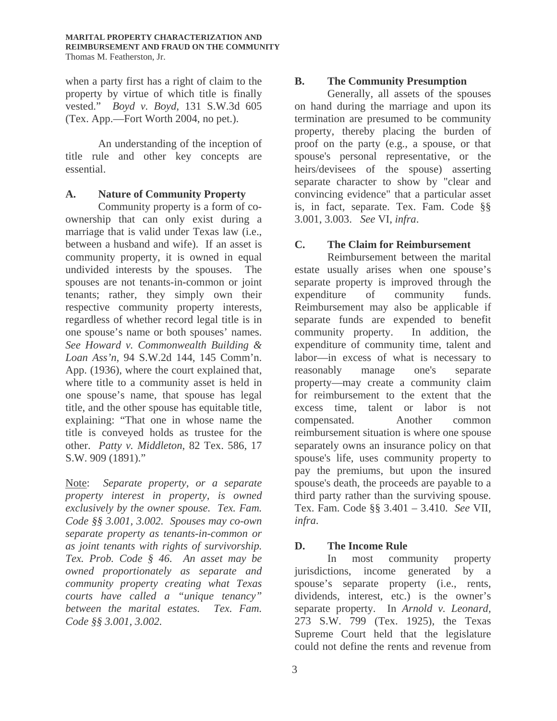when a party first has a right of claim to the property by virtue of which title is finally vested." *Boyd v. Boyd,* 131 S.W.3d 605 (Tex. App.—Fort Worth 2004, no pet.).

An understanding of the inception of title rule and other key concepts are essential.

# **A. Nature of Community Property**

Community property is a form of coownership that can only exist during a marriage that is valid under Texas law (i.e., between a husband and wife). If an asset is community property, it is owned in equal undivided interests by the spouses. The spouses are not tenants-in-common or joint tenants; rather, they simply own their respective community property interests, regardless of whether record legal title is in one spouse's name or both spouses' names. *See Howard v. Commonwealth Building & Loan Ass'n,* 94 S.W.2d 144, 145 Comm'n. App. (1936), where the court explained that, where title to a community asset is held in one spouse's name, that spouse has legal title, and the other spouse has equitable title, explaining: "That one in whose name the title is conveyed holds as trustee for the other. *Patty v. Middleton*, 82 Tex. 586, 17 S.W. 909 (1891)."

Note: *Separate property, or a separate property interest in property, is owned exclusively by the owner spouse. Tex. Fam. Code §§ 3.001, 3.002. Spouses may co-own separate property as tenants-in-common or as joint tenants with rights of survivorship. Tex. Prob. Code § 46. An asset may be owned proportionately as separate and community property creating what Texas courts have called a "unique tenancy" between the marital estates. Tex. Fam. Code §§ 3.001, 3.002.* 

# **B. The Community Presumption**

Generally, all assets of the spouses on hand during the marriage and upon its termination are presumed to be community property, thereby placing the burden of proof on the party (e.g., a spouse, or that spouse's personal representative, or the heirs/devisees of the spouse) asserting separate character to show by "clear and convincing evidence" that a particular asset is, in fact, separate. Tex. Fam. Code §§ 3.001, 3.003. *See* VI, *infra*.

# **C. The Claim for Reimbursement**

Reimbursement between the marital estate usually arises when one spouse's separate property is improved through the expenditure of community funds. Reimbursement may also be applicable if separate funds are expended to benefit community property. In addition, the expenditure of community time, talent and labor—in excess of what is necessary to reasonably manage one's separate property—may create a community claim for reimbursement to the extent that the excess time, talent or labor is not compensated. Another common reimbursement situation is where one spouse separately owns an insurance policy on that spouse's life, uses community property to pay the premiums, but upon the insured spouse's death, the proceeds are payable to a third party rather than the surviving spouse. Tex. Fam. Code §§ 3.401 – 3.410. *See* VII*, infra*.

# **D. The Income Rule**

In most community property jurisdictions, income generated by a spouse's separate property (i.e., rents, dividends, interest, etc.) is the owner's separate property. In *Arnold v. Leonard,* 273 S.W. 799 (Tex. 1925), the Texas Supreme Court held that the legislature could not define the rents and revenue from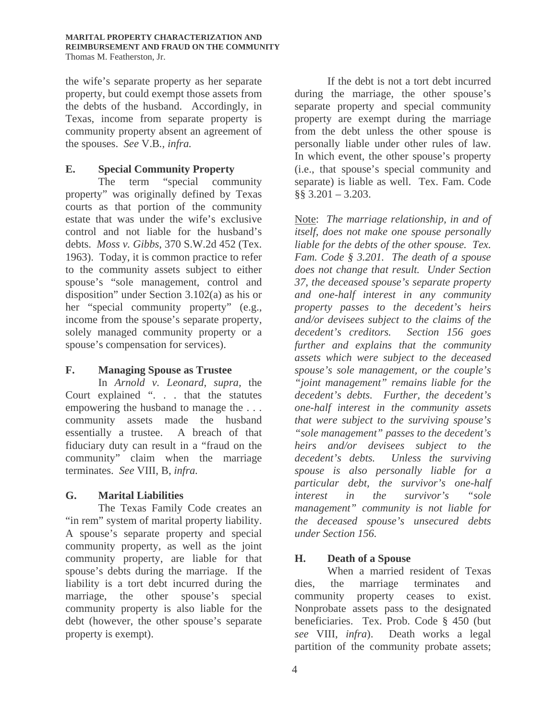the wife's separate property as her separate property, but could exempt those assets from the debts of the husband. Accordingly, in Texas, income from separate property is community property absent an agreement of the spouses. *See* V.B*., infra.* 

#### **E. Special Community Property**

The term "special community" property" was originally defined by Texas courts as that portion of the community estate that was under the wife's exclusive control and not liable for the husband's debts. *Moss v. Gibbs*, 370 S.W.2d 452 (Tex. 1963). Today, it is common practice to refer to the community assets subject to either spouse's "sole management, control and disposition" under Section 3.102(a) as his or her "special community property" (e.g., income from the spouse's separate property, solely managed community property or a spouse's compensation for services).

# **F. Managing Spouse as Trustee**

In *Arnold v. Leonard*, *supra,* the Court explained ". . . that the statutes empowering the husband to manage the . . . community assets made the husband essentially a trustee. A breach of that fiduciary duty can result in a "fraud on the community" claim when the marriage terminates. *See* VIII, B, *infra.*

# **G. Marital Liabilities**

The Texas Family Code creates an "in rem" system of marital property liability. A spouse's separate property and special community property, as well as the joint community property, are liable for that spouse's debts during the marriage. If the liability is a tort debt incurred during the marriage, the other spouse's special community property is also liable for the debt (however, the other spouse's separate property is exempt).

If the debt is not a tort debt incurred during the marriage, the other spouse's separate property and special community property are exempt during the marriage from the debt unless the other spouse is personally liable under other rules of law. In which event, the other spouse's property (i.e., that spouse's special community and separate) is liable as well. Tex. Fam. Code §§ 3.201 – 3.203.

Note: *The marriage relationship, in and of itself, does not make one spouse personally liable for the debts of the other spouse. Tex. Fam. Code § 3.201. The death of a spouse does not change that result. Under Section 37, the deceased spouse's separate property and one-half interest in any community property passes to the decedent's heirs and/or devisees subject to the claims of the decedent's creditors. Section 156 goes further and explains that the community assets which were subject to the deceased spouse's sole management, or the couple's "joint management" remains liable for the decedent's debts. Further, the decedent's one-half interest in the community assets that were subject to the surviving spouse's "sole management" passes to the decedent's heirs and/or devisees subject to the decedent's debts. Unless the surviving spouse is also personally liable for a particular debt, the survivor's one-half interest in the survivor's "sole management" community is not liable for the deceased spouse's unsecured debts under Section 156.* 

# **H. Death of a Spouse**

When a married resident of Texas dies, the marriage terminates and community property ceases to exist. Nonprobate assets pass to the designated beneficiaries. Tex. Prob. Code § 450 (but *see* VIII, *infra*). Death works a legal partition of the community probate assets;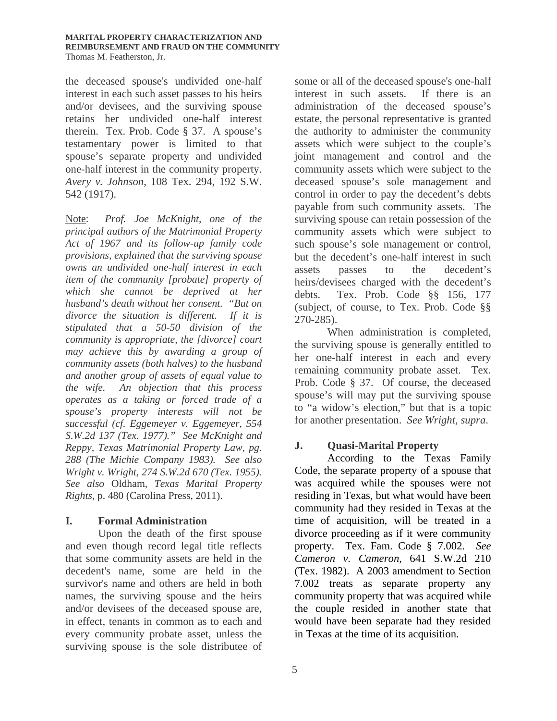the deceased spouse's undivided one-half interest in each such asset passes to his heirs and/or devisees, and the surviving spouse retains her undivided one-half interest therein. Tex. Prob. Code § 37. A spouse's testamentary power is limited to that spouse's separate property and undivided one-half interest in the community property. *Avery v. Johnson*, 108 Tex. 294, 192 S.W. 542 (1917).

Note: *Prof. Joe McKnight, one of the principal authors of the Matrimonial Property Act of 1967 and its follow-up family code provisions, explained that the surviving spouse owns an undivided one-half interest in each item of the community [probate] property of which she cannot be deprived at her husband's death without her consent. "But on divorce the situation is different. If it is stipulated that a 50-50 division of the community is appropriate, the [divorce] court may achieve this by awarding a group of community assets (both halves) to the husband and another group of assets of equal value to the wife. An objection that this process operates as a taking or forced trade of a spouse's property interests will not be successful (cf. Eggemeyer v. Eggemeyer, 554 S.W.2d 137 (Tex. 1977)." See McKnight and Reppy, Texas Matrimonial Property Law, pg. 288 (The Michie Company 1983). See also Wright v. Wright, 274 S.W.2d 670 (Tex. 1955). See also* Oldham, *Texas Marital Property Rights,* p. 480 (Carolina Press, 2011).

# **I. Formal Administration**

Upon the death of the first spouse and even though record legal title reflects that some community assets are held in the decedent's name, some are held in the survivor's name and others are held in both names, the surviving spouse and the heirs and/or devisees of the deceased spouse are, in effect, tenants in common as to each and every community probate asset, unless the surviving spouse is the sole distributee of some or all of the deceased spouse's one-half interest in such assets. If there is an administration of the deceased spouse's estate, the personal representative is granted the authority to administer the community assets which were subject to the couple's joint management and control and the community assets which were subject to the deceased spouse's sole management and control in order to pay the decedent's debts payable from such community assets. The surviving spouse can retain possession of the community assets which were subject to such spouse's sole management or control, but the decedent's one-half interest in such assets passes to the decedent's heirs/devisees charged with the decedent's debts. Tex. Prob. Code §§ 156, 177 (subject, of course, to Tex. Prob. Code §§ 270-285).

When administration is completed, the surviving spouse is generally entitled to her one-half interest in each and every remaining community probate asset. Tex. Prob. Code § 37. Of course, the deceased spouse's will may put the surviving spouse to "a widow's election," but that is a topic for another presentation. *See Wright, supra*.

# **J. Quasi-Marital Property**

According to the Texas Family Code, the separate property of a spouse that was acquired while the spouses were not residing in Texas, but what would have been community had they resided in Texas at the time of acquisition, will be treated in a divorce proceeding as if it were community property. Tex. Fam. Code § 7.002. *See Cameron v. Cameron*, 641 S.W.2d 210 (Tex. 1982). A 2003 amendment to Section 7.002 treats as separate property any community property that was acquired while the couple resided in another state that would have been separate had they resided in Texas at the time of its acquisition.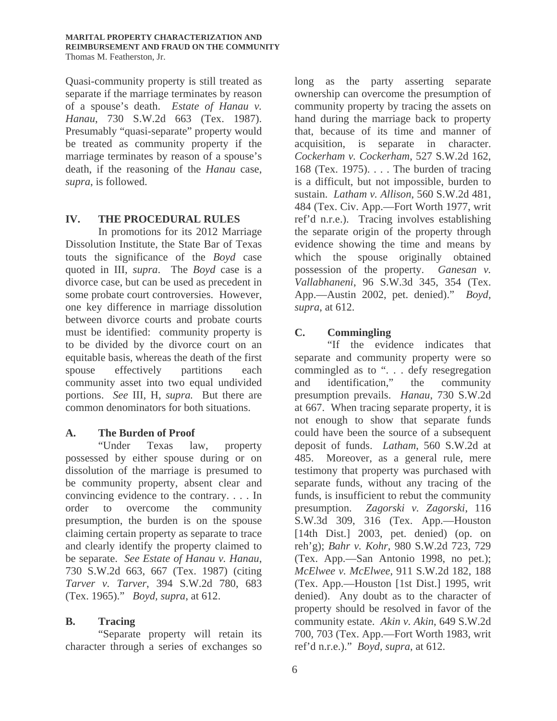Quasi-community property is still treated as separate if the marriage terminates by reason of a spouse's death. *Estate of Hanau v. Hanau*, 730 S.W.2d 663 (Tex. 1987). Presumably "quasi-separate" property would be treated as community property if the marriage terminates by reason of a spouse's death, if the reasoning of the *Hanau* case, *supra*, is followed.

# **IV. THE PROCEDURAL RULES**

In promotions for its 2012 Marriage Dissolution Institute, the State Bar of Texas touts the significance of the *Boyd* case quoted in III, *supra*. The *Boyd* case is a divorce case, but can be used as precedent in some probate court controversies. However, one key difference in marriage dissolution between divorce courts and probate courts must be identified: community property is to be divided by the divorce court on an equitable basis, whereas the death of the first spouse effectively partitions each community asset into two equal undivided portions. *See* III, H, *supra.* But there are common denominators for both situations.

# **A. The Burden of Proof**

"Under Texas law, property possessed by either spouse during or on dissolution of the marriage is presumed to be community property, absent clear and convincing evidence to the contrary. . . . In order to overcome the community presumption, the burden is on the spouse claiming certain property as separate to trace and clearly identify the property claimed to be separate. *See Estate of Hanau v. Hanau*, 730 S.W.2d 663, 667 (Tex. 1987) (citing *Tarver v. Tarver*, 394 S.W.2d 780, 683 (Tex. 1965)." *Boyd, supra*, at 612.

# **B. Tracing**

"Separate property will retain its character through a series of exchanges so

long as the party asserting separate ownership can overcome the presumption of community property by tracing the assets on hand during the marriage back to property that, because of its time and manner of acquisition, is separate in character. *Cockerham v. Cockerham*, 527 S.W.2d 162, 168 (Tex. 1975). . . . The burden of tracing is a difficult, but not impossible, burden to sustain. *Latham v. Allison*, 560 S.W.2d 481, 484 (Tex. Civ. App.—Fort Worth 1977, writ ref'd n.r.e.). Tracing involves establishing the separate origin of the property through evidence showing the time and means by which the spouse originally obtained possession of the property. *Ganesan v. Vallabhaneni*, 96 S.W.3d 345, 354 (Tex. App.—Austin 2002, pet. denied)." *Boyd, supra*, at 612.

# **C. Commingling**

"If the evidence indicates that separate and community property were so commingled as to ". . . defy resegregation and identification," the community presumption prevails. *Hanau*, 730 S.W.2d at 667. When tracing separate property, it is not enough to show that separate funds could have been the source of a subsequent deposit of funds. *Latham*, 560 S.W.2d at 485. Moreover, as a general rule, mere testimony that property was purchased with separate funds, without any tracing of the funds, is insufficient to rebut the community presumption. *Zagorski v. Zagorski*, 116 S.W.3d 309, 316 (Tex. App.—Houston [14th Dist.] 2003, pet. denied) (op. on reh'g); *Bahr v. Kohr*, 980 S.W.2d 723, 729 (Tex. App.—San Antonio 1998, no pet.); *McElwee v. McElwee*, 911 S.W.2d 182, 188 (Tex. App.—Houston [1st Dist.] 1995, writ denied). Any doubt as to the character of property should be resolved in favor of the community estate. *Akin v. Akin*, 649 S.W.2d 700, 703 (Tex. App.—Fort Worth 1983, writ ref'd n.r.e.)." *Boyd, supra*, at 612.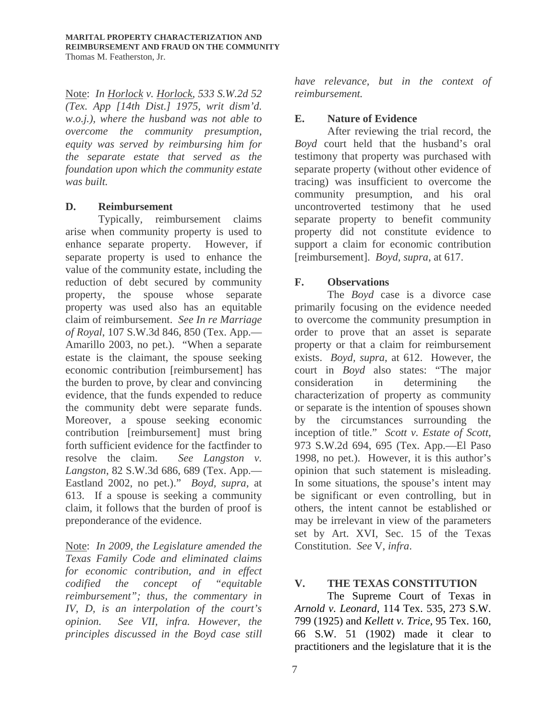Note: *In Horlock v. Horlock, 533 S.W.2d 52 (Tex. App [14th Dist.] 1975, writ dism'd. w.o.j.), where the husband was not able to overcome the community presumption, equity was served by reimbursing him for the separate estate that served as the foundation upon which the community estate was built.* 

#### **D. Reimbursement**

Typically, reimbursement claims arise when community property is used to enhance separate property. However, if separate property is used to enhance the value of the community estate, including the reduction of debt secured by community property, the spouse whose separate property was used also has an equitable claim of reimbursement. *See In re Marriage of Royal*, 107 S.W.3d 846, 850 (Tex. App.— Amarillo 2003, no pet.). "When a separate estate is the claimant, the spouse seeking economic contribution [reimbursement] has the burden to prove, by clear and convincing evidence, that the funds expended to reduce the community debt were separate funds. Moreover, a spouse seeking economic contribution [reimbursement] must bring forth sufficient evidence for the factfinder to resolve the claim. *See Langston v. Langston*, 82 S.W.3d 686, 689 (Tex. App.— Eastland 2002, no pet.)." *Boyd, supra,* at 613. If a spouse is seeking a community claim, it follows that the burden of proof is preponderance of the evidence.

Note: *In 2009, the Legislature amended the Texas Family Code and eliminated claims for economic contribution, and in effect codified the concept of "equitable reimbursement"; thus, the commentary in IV, D, is an interpolation of the court's opinion. See VII, infra. However, the principles discussed in the Boyd case still* 

*have relevance, but in the context of reimbursement.* 

# **E. Nature of Evidence**

After reviewing the trial record, the *Boyd* court held that the husband's oral testimony that property was purchased with separate property (without other evidence of tracing) was insufficient to overcome the community presumption, and his oral uncontroverted testimony that he used separate property to benefit community property did not constitute evidence to support a claim for economic contribution [reimbursement]. *Boyd, supra*, at 617.

# **F. Observations**

The *Boyd* case is a divorce case primarily focusing on the evidence needed to overcome the community presumption in order to prove that an asset is separate property or that a claim for reimbursement exists. *Boyd, supra,* at 612. However, the court in *Boyd* also states: "The major consideration in determining the characterization of property as community or separate is the intention of spouses shown by the circumstances surrounding the inception of title." *Scott v. Estate of Scott*, 973 S.W.2d 694, 695 (Tex. App.—El Paso 1998, no pet.). However, it is this author's opinion that such statement is misleading. In some situations, the spouse's intent may be significant or even controlling, but in others, the intent cannot be established or may be irrelevant in view of the parameters set by Art. XVI, Sec. 15 of the Texas Constitution. *See* V, *infra*.

# **V. THE TEXAS CONSTITUTION**

 The Supreme Court of Texas in *Arnold v. Leonard*, 114 Tex. 535, 273 S.W. 799 (1925) and *Kellett v. Trice*, 95 Tex. 160, 66 S.W. 51 (1902) made it clear to practitioners and the legislature that it is the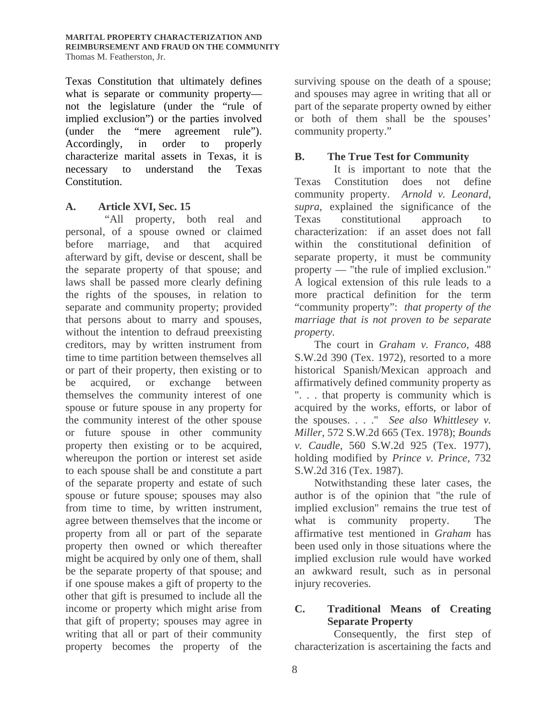Texas Constitution that ultimately defines what is separate or community property not the legislature (under the "rule of implied exclusion") or the parties involved (under the "mere agreement rule"). Accordingly, in order to properly characterize marital assets in Texas, it is necessary to understand the Texas Constitution.

#### **A. Article XVI, Sec. 15**

 "All property, both real and personal, of a spouse owned or claimed before marriage, and that acquired afterward by gift, devise or descent, shall be the separate property of that spouse; and laws shall be passed more clearly defining the rights of the spouses, in relation to separate and community property; provided that persons about to marry and spouses, without the intention to defraud preexisting creditors, may by written instrument from time to time partition between themselves all or part of their property, then existing or to be acquired, or exchange between themselves the community interest of one spouse or future spouse in any property for the community interest of the other spouse or future spouse in other community property then existing or to be acquired, whereupon the portion or interest set aside to each spouse shall be and constitute a part of the separate property and estate of such spouse or future spouse; spouses may also from time to time, by written instrument, agree between themselves that the income or property from all or part of the separate property then owned or which thereafter might be acquired by only one of them, shall be the separate property of that spouse; and if one spouse makes a gift of property to the other that gift is presumed to include all the income or property which might arise from that gift of property; spouses may agree in writing that all or part of their community property becomes the property of the surviving spouse on the death of a spouse; and spouses may agree in writing that all or part of the separate property owned by either or both of them shall be the spouses' community property."

# **B. The True Test for Community**

 It is important to note that the Texas Constitution does not define community property. *Arnold v. Leonard*, *supra*, explained the significance of the Texas constitutional approach to characterization: if an asset does not fall within the constitutional definition of separate property, it must be community property — "the rule of implied exclusion." A logical extension of this rule leads to a more practical definition for the term "community property": *that property of the marriage that is not proven to be separate property.*

 The court in *Graham v. Franco*, 488 S.W.2d 390 (Tex. 1972), resorted to a more historical Spanish/Mexican approach and affirmatively defined community property as ". . . that property is community which is acquired by the works, efforts, or labor of the spouses. . . ." *See also Whittlesey v. Miller*, 572 S.W.2d 665 (Tex. 1978); *Bounds v. Caudle*, 560 S.W.2d 925 (Tex. 1977), holding modified by *Prince v. Prince,* 732 S.W.2d 316 (Tex. 1987).

 Notwithstanding these later cases, the author is of the opinion that "the rule of implied exclusion" remains the true test of what is community property. The affirmative test mentioned in *Graham* has been used only in those situations where the implied exclusion rule would have worked an awkward result, such as in personal injury recoveries.

# **C. Traditional Means of Creating Separate Property**

 Consequently, the first step of characterization is ascertaining the facts and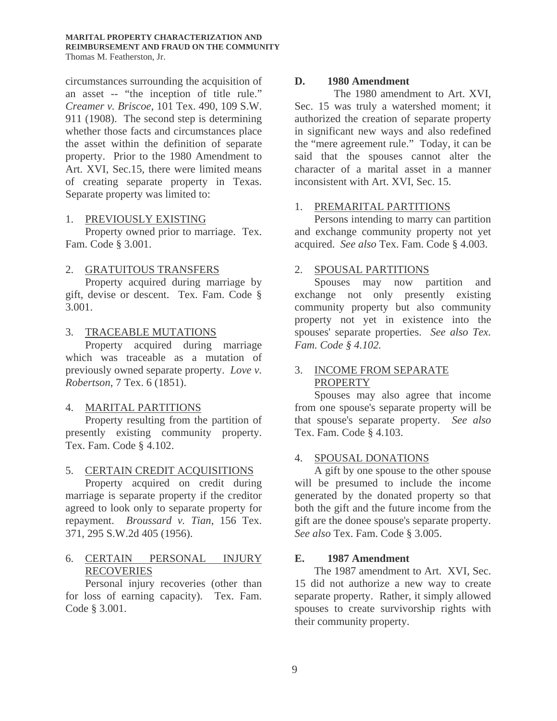#### **MARITAL PROPERTY CHARACTERIZATION AND REIMBURSEMENT AND FRAUD ON THE COMMUNITY** Thomas M. Featherston, Jr.

circumstances surrounding the acquisition of an asset -- "the inception of title rule." *Creamer v. Briscoe*, 101 Tex. 490, 109 S.W. 911 (1908). The second step is determining whether those facts and circumstances place the asset within the definition of separate property. Prior to the 1980 Amendment to Art. XVI, Sec.15, there were limited means of creating separate property in Texas. Separate property was limited to:

#### 1. PREVIOUSLY EXISTING

 Property owned prior to marriage. Tex. Fam. Code § 3.001.

#### 2. GRATUITOUS TRANSFERS

 Property acquired during marriage by gift, devise or descent. Tex. Fam. Code § 3.001.

#### 3. TRACEABLE MUTATIONS

 Property acquired during marriage which was traceable as a mutation of previously owned separate property. *Love v. Robertson*, 7 Tex. 6 (1851).

#### 4. MARITAL PARTITIONS

 Property resulting from the partition of presently existing community property. Tex. Fam. Code § 4.102.

#### 5. CERTAIN CREDIT ACQUISITIONS

 Property acquired on credit during marriage is separate property if the creditor agreed to look only to separate property for repayment. *Broussard v. Tian*, 156 Tex. 371, 295 S.W.2d 405 (1956).

# 6. CERTAIN PERSONAL INJURY RECOVERIES

 Personal injury recoveries (other than for loss of earning capacity). Tex. Fam. Code § 3.001.

#### **D. 1980 Amendment**

 The 1980 amendment to Art. XVI, Sec. 15 was truly a watershed moment; it authorized the creation of separate property in significant new ways and also redefined the "mere agreement rule." Today, it can be said that the spouses cannot alter the character of a marital asset in a manner inconsistent with Art. XVI, Sec. 15.

#### 1. PREMARITAL PARTITIONS

 Persons intending to marry can partition and exchange community property not yet acquired. *See also* Tex. Fam. Code § 4.003.

#### 2. SPOUSAL PARTITIONS

 Spouses may now partition and exchange not only presently existing community property but also community property not yet in existence into the spouses' separate properties. *See also Tex. Fam. Code § 4.102.* 

#### 3. INCOME FROM SEPARATE PROPERTY

 Spouses may also agree that income from one spouse's separate property will be that spouse's separate property. *See also* Tex. Fam. Code § 4.103.

#### 4. SPOUSAL DONATIONS

 A gift by one spouse to the other spouse will be presumed to include the income generated by the donated property so that both the gift and the future income from the gift are the donee spouse's separate property. *See also* Tex. Fam. Code § 3.005.

#### **E. 1987 Amendment**

 The 1987 amendment to Art. XVI, Sec. 15 did not authorize a new way to create separate property. Rather, it simply allowed spouses to create survivorship rights with their community property.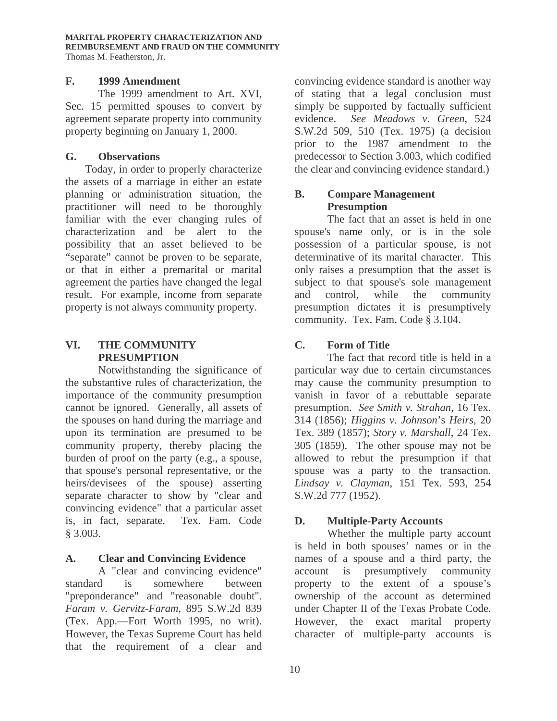#### **F. 1999 Amendment**

 The 1999 amendment to Art. XVI, Sec. 15 permitted spouses to convert by agreement separate property into community property beginning on January 1, 2000.

#### **G. Observations**

 Today, in order to properly characterize the assets of a marriage in either an estate planning or administration situation, the practitioner will need to be thoroughly familiar with the ever changing rules of characterization and be alert to the possibility that an asset believed to be "separate" cannot be proven to be separate, or that in either a premarital or marital agreement the parties have changed the legal result. For example, income from separate property is not always community property.

# **VI. THE COMMUNITY PRESUMPTION**

 Notwithstanding the significance of the substantive rules of characterization, the importance of the community presumption cannot be ignored. Generally, all assets of the spouses on hand during the marriage and upon its termination are presumed to be community property, thereby placing the burden of proof on the party (e.g., a spouse, that spouse's personal representative, or the heirs/devisees of the spouse) asserting separate character to show by "clear and convincing evidence" that a particular asset is, in fact, separate. Tex. Fam. Code § 3.003.

# **A. Clear and Convincing Evidence**

 A "clear and convincing evidence" standard is somewhere between "preponderance" and "reasonable doubt". *Faram v. Gervitz-Faram*, 895 S.W.2d 839 (Tex. App.—Fort Worth 1995, no writ). However, the Texas Supreme Court has held that the requirement of a clear and convincing evidence standard is another way of stating that a legal conclusion must simply be supported by factually sufficient evidence. *See Meadows v. Green*, 524 S.W.2d 509, 510 (Tex. 1975) (a decision prior to the 1987 amendment to the predecessor to Section 3.003, which codified the clear and convincing evidence standard.)

# **B. Compare Management Presumption**

 The fact that an asset is held in one spouse's name only, or is in the sole possession of a particular spouse, is not determinative of its marital character. This only raises a presumption that the asset is subject to that spouse's sole management and control, while the community presumption dictates it is presumptively community. Tex. Fam. Code § 3.104.

# **C. Form of Title**

 The fact that record title is held in a particular way due to certain circumstances may cause the community presumption to vanish in favor of a rebuttable separate presumption. *See Smith v. Strahan*, 16 Tex. 314 (1856); *Higgins v. Johnson*'s *Heirs*, 20 Tex. 389 (1857); *Story v. Marshall*, 24 Tex. 305 (1859). The other spouse may not be allowed to rebut the presumption if that spouse was a party to the transaction. *Lindsay v. Clayman*, 151 Tex. 593, 254 S.W.2d 777 (1952).

# **D. Multiple-Party Accounts**

Whether the multiple party account is held in both spouses' names or in the names of a spouse and a third party, the account is presumptively community property to the extent of a spouse's ownership of the account as determined under Chapter II of the Texas Probate Code. However, the exact marital property character of multiple-party accounts is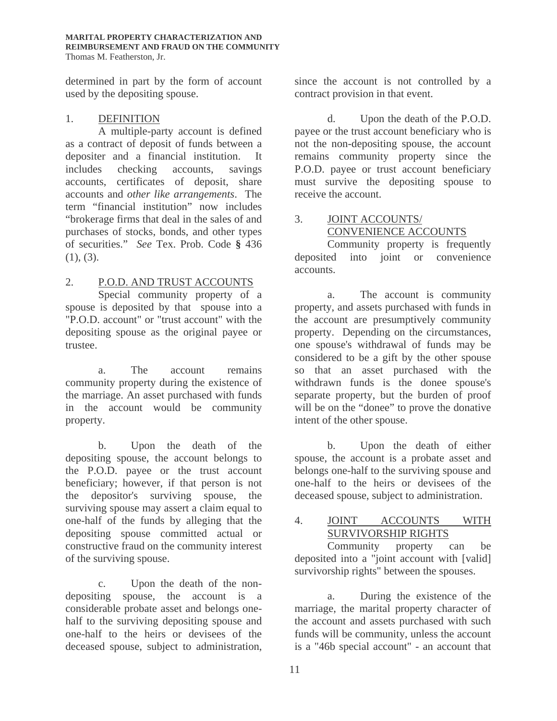determined in part by the form of account used by the depositing spouse.

#### 1. DEFINITION

 A multiple-party account is defined as a contract of deposit of funds between a depositer and a financial institution. It includes checking accounts, savings accounts, certificates of deposit, share accounts and *other like arrangements*. The term "financial institution" now includes "brokerage firms that deal in the sales of and purchases of stocks, bonds, and other types of securities." *See* Tex. Prob. Code **§** 436  $(1), (3)$ .

# 2. P.O.D. AND TRUST ACCOUNTS

 Special community property of a spouse is deposited by that spouse into a "P.O.D. account" or "trust account" with the depositing spouse as the original payee or trustee.

a. The account remains community property during the existence of the marriage. An asset purchased with funds in the account would be community property.

b. Upon the death of the depositing spouse, the account belongs to the P.O.D. payee or the trust account beneficiary; however, if that person is not the depositor's surviving spouse, the surviving spouse may assert a claim equal to one-half of the funds by alleging that the depositing spouse committed actual or constructive fraud on the community interest of the surviving spouse.

c. Upon the death of the nondepositing spouse, the account is a considerable probate asset and belongs onehalf to the surviving depositing spouse and one-half to the heirs or devisees of the deceased spouse, subject to administration, since the account is not controlled by a contract provision in that event.

d. Upon the death of the P.O.D. payee or the trust account beneficiary who is not the non-depositing spouse, the account remains community property since the P.O.D. payee or trust account beneficiary must survive the depositing spouse to receive the account.

# 3. JOINT ACCOUNTS/ CONVENIENCE ACCOUNTS

Community property is frequently deposited into joint or convenience accounts.

a. The account is community property, and assets purchased with funds in the account are presumptively community property. Depending on the circumstances, one spouse's withdrawal of funds may be considered to be a gift by the other spouse so that an asset purchased with the withdrawn funds is the donee spouse's separate property, but the burden of proof will be on the "donee" to prove the donative intent of the other spouse.

b. Upon the death of either spouse, the account is a probate asset and belongs one-half to the surviving spouse and one-half to the heirs or devisees of the deceased spouse, subject to administration.

#### 4. JOINT ACCOUNTS WITH SURVIVORSHIP RIGHTS

Community property can be deposited into a "joint account with [valid] survivorship rights" between the spouses.

a. During the existence of the marriage, the marital property character of the account and assets purchased with such funds will be community, unless the account is a "46b special account" - an account that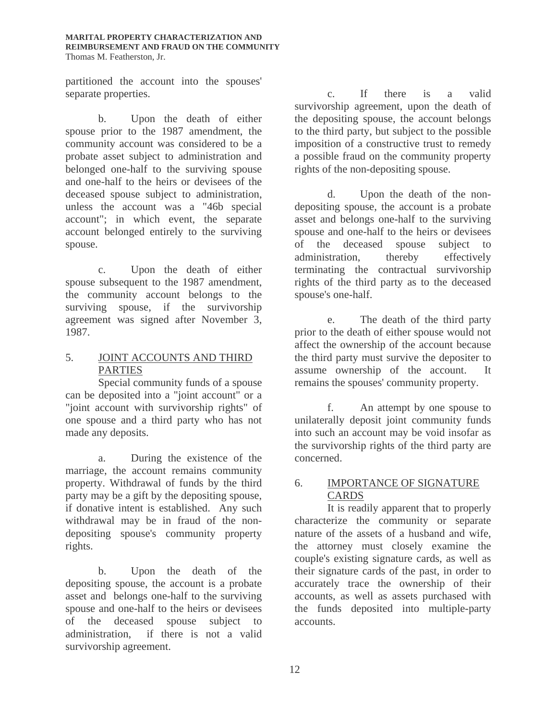partitioned the account into the spouses' separate properties.

b. Upon the death of either spouse prior to the 1987 amendment, the community account was considered to be a probate asset subject to administration and belonged one-half to the surviving spouse and one-half to the heirs or devisees of the deceased spouse subject to administration, unless the account was a "46b special account"; in which event, the separate account belonged entirely to the surviving spouse.

c. Upon the death of either spouse subsequent to the 1987 amendment, the community account belongs to the surviving spouse, if the survivorship agreement was signed after November 3, 1987.

# 5. JOINT ACCOUNTS AND THIRD PARTIES

Special community funds of a spouse can be deposited into a "joint account" or a "joint account with survivorship rights" of one spouse and a third party who has not made any deposits.

a. During the existence of the marriage, the account remains community property. Withdrawal of funds by the third party may be a gift by the depositing spouse, if donative intent is established. Any such withdrawal may be in fraud of the nondepositing spouse's community property rights.

b. Upon the death of the depositing spouse, the account is a probate asset and belongs one-half to the surviving spouse and one-half to the heirs or devisees of the deceased spouse subject to administration, if there is not a valid survivorship agreement.

c. If there is a valid survivorship agreement, upon the death of the depositing spouse, the account belongs to the third party, but subject to the possible imposition of a constructive trust to remedy a possible fraud on the community property rights of the non-depositing spouse.

d. Upon the death of the nondepositing spouse, the account is a probate asset and belongs one-half to the surviving spouse and one-half to the heirs or devisees of the deceased spouse subject to administration, thereby effectively terminating the contractual survivorship rights of the third party as to the deceased spouse's one-half.

e. The death of the third party prior to the death of either spouse would not affect the ownership of the account because the third party must survive the depositer to assume ownership of the account. It remains the spouses' community property.

f. An attempt by one spouse to unilaterally deposit joint community funds into such an account may be void insofar as the survivorship rights of the third party are concerned.

# 6. IMPORTANCE OF SIGNATURE **CARDS**

It is readily apparent that to properly characterize the community or separate nature of the assets of a husband and wife, the attorney must closely examine the couple's existing signature cards, as well as their signature cards of the past, in order to accurately trace the ownership of their accounts, as well as assets purchased with the funds deposited into multiple-party accounts.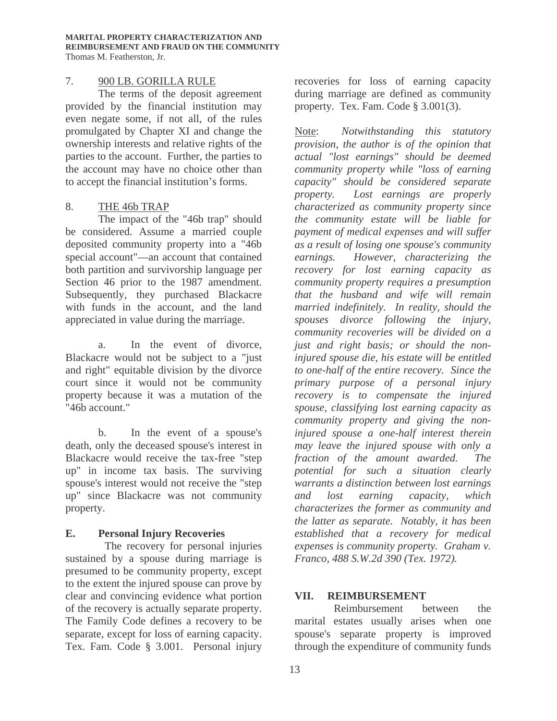#### 7. 900 LB. GORILLA RULE

The terms of the deposit agreement provided by the financial institution may even negate some, if not all, of the rules promulgated by Chapter XI and change the ownership interests and relative rights of the parties to the account. Further, the parties to the account may have no choice other than to accept the financial institution's forms.

#### 8. THE 46b TRAP

The impact of the "46b trap" should be considered. Assume a married couple deposited community property into a "46b special account"—an account that contained both partition and survivorship language per Section 46 prior to the 1987 amendment. Subsequently, they purchased Blackacre with funds in the account, and the land appreciated in value during the marriage.

a. In the event of divorce, Blackacre would not be subject to a "just and right" equitable division by the divorce court since it would not be community property because it was a mutation of the "46b account."

b. In the event of a spouse's death, only the deceased spouse's interest in Blackacre would receive the tax-free "step up" in income tax basis. The surviving spouse's interest would not receive the "step up" since Blackacre was not community property.

# **E. Personal Injury Recoveries**

 The recovery for personal injuries sustained by a spouse during marriage is presumed to be community property, except to the extent the injured spouse can prove by clear and convincing evidence what portion of the recovery is actually separate property. The Family Code defines a recovery to be separate, except for loss of earning capacity. Tex. Fam. Code § 3.001. Personal injury

recoveries for loss of earning capacity during marriage are defined as community property. Tex. Fam. Code § 3.001(3).

Note: *Notwithstanding this statutory provision, the author is of the opinion that actual "lost earnings" should be deemed community property while "loss of earning capacity" should be considered separate property. Lost earnings are properly characterized as community property since the community estate will be liable for payment of medical expenses and will suffer as a result of losing one spouse's community earnings. However, characterizing the recovery for lost earning capacity as community property requires a presumption that the husband and wife will remain married indefinitely. In reality, should the spouses divorce following the injury, community recoveries will be divided on a just and right basis; or should the noninjured spouse die, his estate will be entitled to one-half of the entire recovery. Since the primary purpose of a personal injury recovery is to compensate the injured spouse, classifying lost earning capacity as community property and giving the noninjured spouse a one-half interest therein may leave the injured spouse with only a fraction of the amount awarded. The potential for such a situation clearly warrants a distinction between lost earnings and lost earning capacity, which characterizes the former as community and the latter as separate. Notably, it has been established that a recovery for medical expenses is community property. Graham v. Franco, 488 S.W.2d 390 (Tex. 1972).* 

# **VII. REIMBURSEMENT**

 Reimbursement between the marital estates usually arises when one spouse's separate property is improved through the expenditure of community funds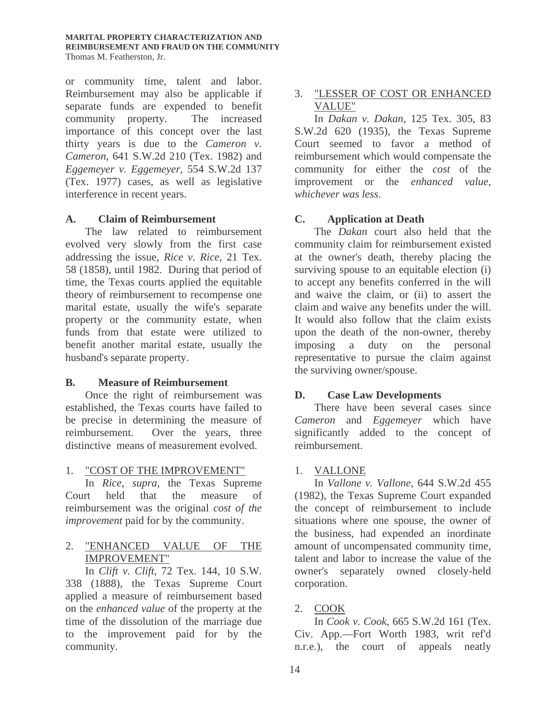#### **MARITAL PROPERTY CHARACTERIZATION AND REIMBURSEMENT AND FRAUD ON THE COMMUNITY** Thomas M. Featherston, Jr.

or community time, talent and labor. Reimbursement may also be applicable if separate funds are expended to benefit community property. The increased importance of this concept over the last thirty years is due to the *Cameron v. Cameron*, 641 S.W.2d 210 (Tex. 1982) and *Eggemeyer v. Eggemeyer*, 554 S.W.2d 137 (Tex. 1977) cases, as well as legislative interference in recent years.

#### **A. Claim of Reimbursement**

 The law related to reimbursement evolved very slowly from the first case addressing the issue, *Rice v. Rice*, 21 Tex. 58 (1858), until 1982. During that period of time, the Texas courts applied the equitable theory of reimbursement to recompense one marital estate, usually the wife's separate property or the community estate, when funds from that estate were utilized to benefit another marital estate, usually the husband's separate property.

#### **B. Measure of Reimbursement**

 Once the right of reimbursement was established, the Texas courts have failed to be precise in determining the measure of reimbursement. Over the years, three distinctive means of measurement evolved.

#### 1. "COST OF THE IMPROVEMENT"

 In *Rice*, *supra,* the Texas Supreme Court held that the measure of reimbursement was the original *cost of the improvement* paid for by the community.

# 2. "ENHANCED VALUE OF THE IMPROVEMENT"

 In *Clift v. Clift*, 72 Tex. 144, 10 S.W. 338 (1888), the Texas Supreme Court applied a measure of reimbursement based on the *enhanced value* of the property at the time of the dissolution of the marriage due to the improvement paid for by the community.

# 3. "LESSER OF COST OR ENHANCED VALUE"

 In *Dakan v. Dakan*, 125 Tex. 305, 83 S.W.2d 620 (1935), the Texas Supreme Court seemed to favor a method of reimbursement which would compensate the community for either the *cost* of the improvement or the *enhanced value, whichever was less*.

# **C. Application at Death**

 The *Dakan* court also held that the community claim for reimbursement existed at the owner's death, thereby placing the surviving spouse to an equitable election (i) to accept any benefits conferred in the will and waive the claim, or (ii) to assert the claim and waive any benefits under the will. It would also follow that the claim exists upon the death of the non-owner, thereby imposing a duty on the personal representative to pursue the claim against the surviving owner/spouse.

# **D. Case Law Developments**

 There have been several cases since *Cameron* and *Eggemeyer* which have significantly added to the concept of reimbursement.

# 1. VALLONE

 In *Vallone v. Vallone*, 644 S.W.2d 455 (1982), the Texas Supreme Court expanded the concept of reimbursement to include situations where one spouse, the owner of the business, had expended an inordinate amount of uncompensated community time, talent and labor to increase the value of the owner's separately owned closely-held corporation.

# 2. COOK

 In *Cook v. Cook*, 665 S.W.2d 161 (Tex. Civ. App.—Fort Worth 1983, writ ref'd n.r.e.), the court of appeals neatly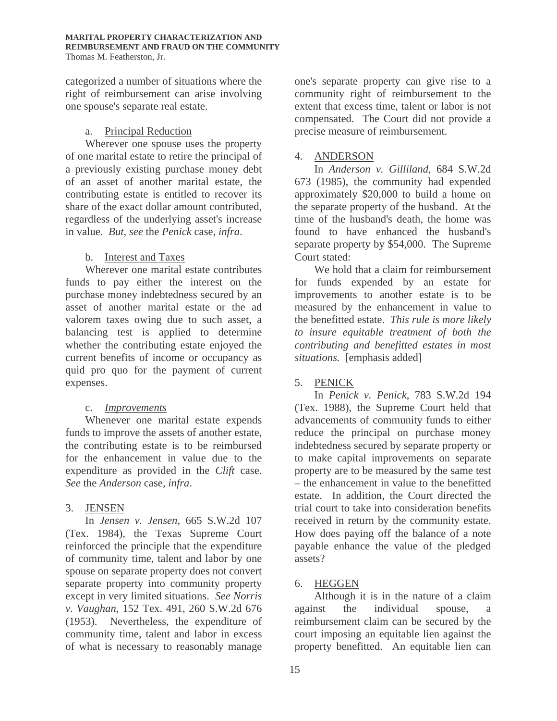categorized a number of situations where the right of reimbursement can arise involving one spouse's separate real estate.

#### a. Principal Reduction

 Wherever one spouse uses the property of one marital estate to retire the principal of a previously existing purchase money debt of an asset of another marital estate, the contributing estate is entitled to recover its share of the exact dollar amount contributed, regardless of the underlying asset's increase in value. *But, see* the *Penick* case, *infra*.

#### b. Interest and Taxes

 Wherever one marital estate contributes funds to pay either the interest on the purchase money indebtedness secured by an asset of another marital estate or the ad valorem taxes owing due to such asset, a balancing test is applied to determine whether the contributing estate enjoyed the current benefits of income or occupancy as quid pro quo for the payment of current expenses.

# c. *Improvements*

 Whenever one marital estate expends funds to improve the assets of another estate, the contributing estate is to be reimbursed for the enhancement in value due to the expenditure as provided in the *Clift* case. *See* the *Anderson* case, *infra*.

# 3. JENSEN

 In *Jensen v. Jensen*, 665 S.W.2d 107 (Tex. 1984), the Texas Supreme Court reinforced the principle that the expenditure of community time, talent and labor by one spouse on separate property does not convert separate property into community property except in very limited situations. *See Norris v. Vaughan*, 152 Tex. 491, 260 S.W.2d 676 (1953). Nevertheless, the expenditure of community time, talent and labor in excess of what is necessary to reasonably manage

one's separate property can give rise to a community right of reimbursement to the extent that excess time, talent or labor is not compensated. The Court did not provide a precise measure of reimbursement.

# 4. ANDERSON

 In *Anderson v. Gilliland*, 684 S.W.2d 673 (1985), the community had expended approximately \$20,000 to build a home on the separate property of the husband. At the time of the husband's death, the home was found to have enhanced the husband's separate property by \$54,000. The Supreme Court stated:

We hold that a claim for reimbursement for funds expended by an estate for improvements to another estate is to be measured by the enhancement in value to the benefitted estate. *This rule is more likely to insure equitable treatment of both the contributing and benefitted estates in most situations.* [emphasis added]

# 5. PENICK

 In *Penick v. Penick*, 783 S.W.2d 194 (Tex. 1988), the Supreme Court held that advancements of community funds to either reduce the principal on purchase money indebtedness secured by separate property or to make capital improvements on separate property are to be measured by the same test – the enhancement in value to the benefitted estate. In addition, the Court directed the trial court to take into consideration benefits received in return by the community estate. How does paying off the balance of a note payable enhance the value of the pledged assets?

# 6. HEGGEN

 Although it is in the nature of a claim against the individual spouse, reimbursement claim can be secured by the court imposing an equitable lien against the property benefitted. An equitable lien can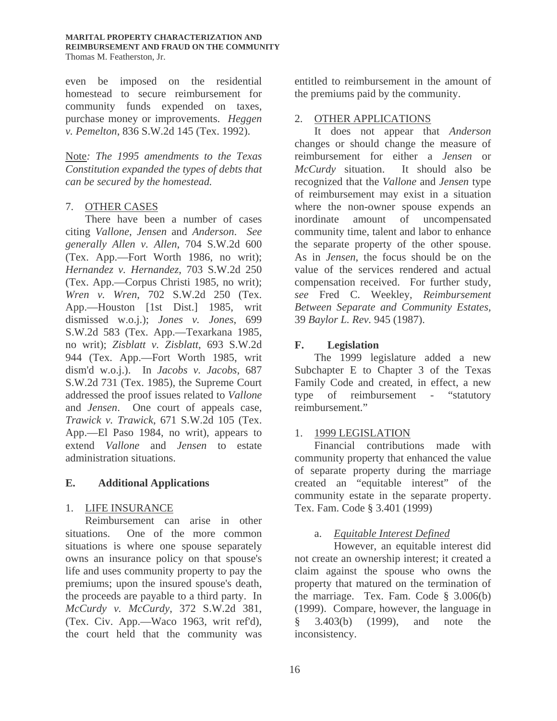#### **MARITAL PROPERTY CHARACTERIZATION AND REIMBURSEMENT AND FRAUD ON THE COMMUNITY** Thomas M. Featherston, Jr.

even be imposed on the residential homestead to secure reimbursement for community funds expended on taxes, purchase money or improvements. *Heggen v. Pemelton*, 836 S.W.2d 145 (Tex. 1992).

Note*: The 1995 amendments to the Texas Constitution expanded the types of debts that can be secured by the homestead.* 

#### 7. OTHER CASES

 There have been a number of cases citing *Vallone*, *Jensen* and *Anderson*. *See generally Allen v. Allen*, 704 S.W.2d 600 (Tex. App.—Fort Worth 1986, no writ); *Hernandez v. Hernandez*, 703 S.W.2d 250 (Tex. App.—Corpus Christi 1985, no writ); *Wren v. Wren*, 702 S.W.2d 250 (Tex. App.—Houston [1st Dist.] 1985, writ dismissed w.o.j.); *Jones v. Jones*, 699 S.W.2d 583 (Tex. App.—Texarkana 1985, no writ); *Zisblatt v. Zisblatt*, 693 S.W.2d 944 (Tex. App.—Fort Worth 1985, writ dism'd w.o.j.). In *Jacobs v. Jacobs*, 687 S.W.2d 731 (Tex. 1985), the Supreme Court addressed the proof issues related to *Vallone* and *Jensen*. One court of appeals case, *Trawick v. Trawick*, 671 S.W.2d 105 (Tex. App.—El Paso 1984, no writ), appears to extend *Vallone* and *Jensen* to estate administration situations.

# **E. Additional Applications**

# 1. LIFE INSURANCE

 Reimbursement can arise in other situations. One of the more common situations is where one spouse separately owns an insurance policy on that spouse's life and uses community property to pay the premiums; upon the insured spouse's death, the proceeds are payable to a third party. In *McCurdy v. McCurdy*, 372 S.W.2d 381, (Tex. Civ. App.—Waco 1963, writ ref'd), the court held that the community was

entitled to reimbursement in the amount of the premiums paid by the community.

# 2. OTHER APPLICATIONS

 It does not appear that *Anderson*  changes or should change the measure of reimbursement for either a *Jensen* or *McCurdy* situation. It should also be recognized that the *Vallone* and *Jensen* type of reimbursement may exist in a situation where the non-owner spouse expends an inordinate amount of uncompensated community time, talent and labor to enhance the separate property of the other spouse. As in *Jensen*, the focus should be on the value of the services rendered and actual compensation received. For further study, *see* Fred C. Weekley, *Reimbursement Between Separate and Community Estates,* 39 *Baylor L. Rev.* 945 (1987).

# **F. Legislation**

 The 1999 legislature added a new Subchapter E to Chapter 3 of the Texas Family Code and created, in effect, a new type of reimbursement - "statutory reimbursement."

# 1. 1999 LEGISLATION

 Financial contributions made with community property that enhanced the value of separate property during the marriage created an "equitable interest" of the community estate in the separate property. Tex. Fam. Code § 3.401 (1999)

# a. *Equitable Interest Defined*

 However, an equitable interest did not create an ownership interest; it created a claim against the spouse who owns the property that matured on the termination of the marriage. Tex. Fam. Code  $\S$  3.006(b) (1999). Compare, however, the language in § 3.403(b) (1999), and note the inconsistency.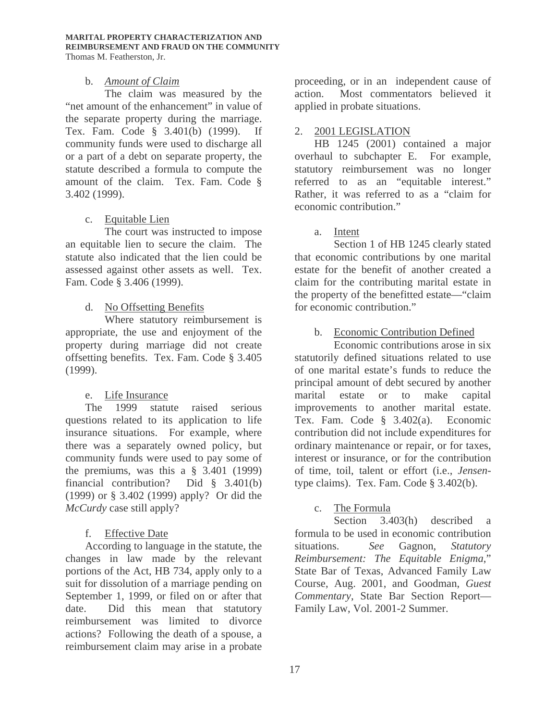#### b. *Amount of Claim*

 The claim was measured by the "net amount of the enhancement" in value of the separate property during the marriage. Tex. Fam. Code § 3.401(b) (1999). If community funds were used to discharge all or a part of a debt on separate property, the statute described a formula to compute the amount of the claim. Tex. Fam. Code § 3.402 (1999).

# c. Equitable Lien

 The court was instructed to impose an equitable lien to secure the claim. The statute also indicated that the lien could be assessed against other assets as well. Tex. Fam. Code § 3.406 (1999).

# d. No Offsetting Benefits

 Where statutory reimbursement is appropriate, the use and enjoyment of the property during marriage did not create offsetting benefits. Tex. Fam. Code § 3.405 (1999).

# e. Life Insurance

 The 1999 statute raised serious questions related to its application to life insurance situations. For example, where there was a separately owned policy, but community funds were used to pay some of the premiums, was this a § 3.401 (1999) financial contribution? Did § 3.401(b) (1999) or § 3.402 (1999) apply? Or did the *McCurdy* case still apply?

# f. Effective Date

 According to language in the statute, the changes in law made by the relevant portions of the Act, HB 734, apply only to a suit for dissolution of a marriage pending on September 1, 1999, or filed on or after that date. Did this mean that statutory reimbursement was limited to divorce actions? Following the death of a spouse, a reimbursement claim may arise in a probate

proceeding, or in an independent cause of action. Most commentators believed it applied in probate situations.

#### 2. 2001 LEGISLATION

 HB 1245 (2001) contained a major overhaul to subchapter E. For example, statutory reimbursement was no longer referred to as an "equitable interest." Rather, it was referred to as a "claim for economic contribution."

a. Intent

 Section 1 of HB 1245 clearly stated that economic contributions by one marital estate for the benefit of another created a claim for the contributing marital estate in the property of the benefitted estate—"claim for economic contribution."

b. Economic Contribution Defined

 Economic contributions arose in six statutorily defined situations related to use of one marital estate's funds to reduce the principal amount of debt secured by another marital estate or to make capital improvements to another marital estate. Tex. Fam. Code § 3.402(a). Economic contribution did not include expenditures for ordinary maintenance or repair, or for taxes, interest or insurance, or for the contribution of time, toil, talent or effort (i.e., *Jensen*type claims). Tex. Fam. Code § 3.402(b).

# c. The Formula

 Section 3.403(h) described a formula to be used in economic contribution situations. *See* Gagnon, *Statutory Reimbursement: The Equitable Enigma*," State Bar of Texas, Advanced Family Law Course, Aug. 2001, and Goodman, *Guest Commentary*, State Bar Section Report— Family Law, Vol. 2001-2 Summer.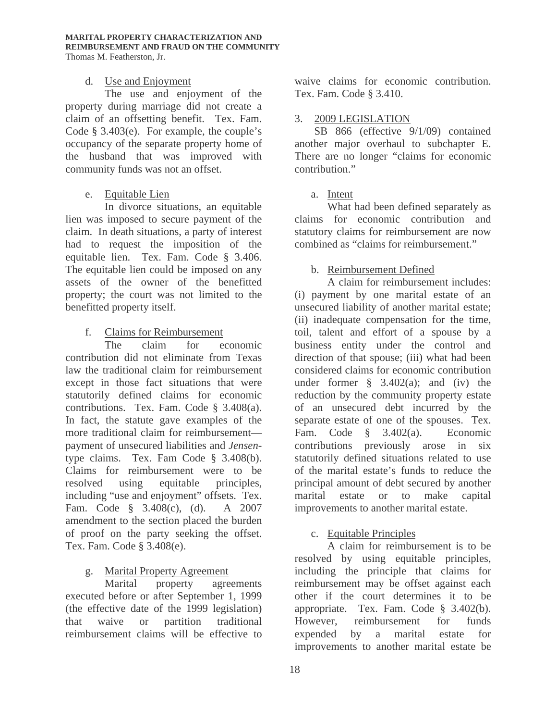# d. Use and Enjoyment

 The use and enjoyment of the property during marriage did not create a claim of an offsetting benefit. Tex. Fam. Code § 3.403(e). For example, the couple's occupancy of the separate property home of the husband that was improved with community funds was not an offset.

# e. Equitable Lien

 In divorce situations, an equitable lien was imposed to secure payment of the claim. In death situations, a party of interest had to request the imposition of the equitable lien. Tex. Fam. Code § 3.406. The equitable lien could be imposed on any assets of the owner of the benefitted property; the court was not limited to the benefitted property itself.

# f. Claims for Reimbursement

 The claim for economic contribution did not eliminate from Texas law the traditional claim for reimbursement except in those fact situations that were statutorily defined claims for economic contributions. Tex. Fam. Code § 3.408(a). In fact, the statute gave examples of the more traditional claim for reimbursement payment of unsecured liabilities and *Jensen*type claims. Tex. Fam Code § 3.408(b). Claims for reimbursement were to be resolved using equitable principles, including "use and enjoyment" offsets. Tex. Fam. Code § 3.408(c), (d). A 2007 amendment to the section placed the burden of proof on the party seeking the offset. Tex. Fam. Code § 3.408(e).

# g. Marital Property Agreement

 Marital property agreements executed before or after September 1, 1999 (the effective date of the 1999 legislation) that waive or partition traditional reimbursement claims will be effective to

waive claims for economic contribution. Tex. Fam. Code § 3.410.

# 3. 2009 LEGISLATION

 SB 866 (effective 9/1/09) contained another major overhaul to subchapter E. There are no longer "claims for economic contribution."

# a. Intent

What had been defined separately as claims for economic contribution and statutory claims for reimbursement are now combined as "claims for reimbursement."

# b. Reimbursement Defined

A claim for reimbursement includes: (i) payment by one marital estate of an unsecured liability of another marital estate; (ii) inadequate compensation for the time, toil, talent and effort of a spouse by a business entity under the control and direction of that spouse; (iii) what had been considered claims for economic contribution under former  $\S$  3.402(a); and (iv) the reduction by the community property estate of an unsecured debt incurred by the separate estate of one of the spouses. Tex. Fam. Code § 3.402(a). Economic contributions previously arose in six statutorily defined situations related to use of the marital estate's funds to reduce the principal amount of debt secured by another marital estate or to make capital improvements to another marital estate.

# c. Equitable Principles

A claim for reimbursement is to be resolved by using equitable principles, including the principle that claims for reimbursement may be offset against each other if the court determines it to be appropriate. Tex. Fam. Code § 3.402(b). However, reimbursement for funds expended by a marital estate for improvements to another marital estate be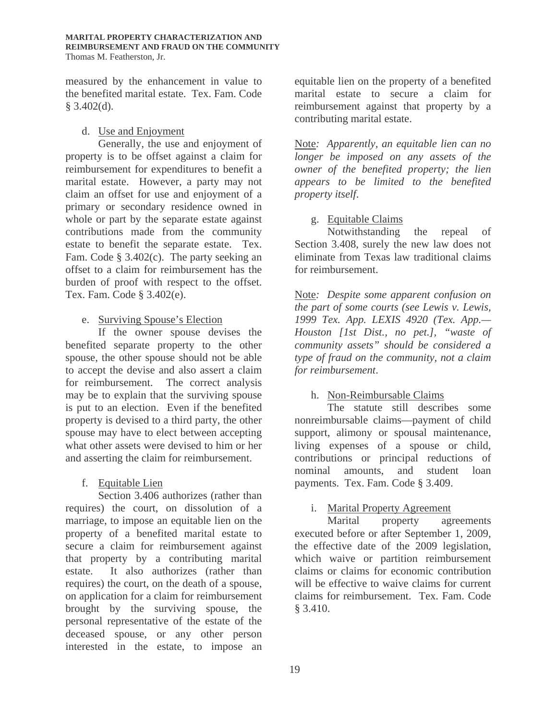measured by the enhancement in value to the benefited marital estate. Tex. Fam. Code § 3.402(d).

#### d. Use and Enjoyment

Generally, the use and enjoyment of property is to be offset against a claim for reimbursement for expenditures to benefit a marital estate. However, a party may not claim an offset for use and enjoyment of a primary or secondary residence owned in whole or part by the separate estate against contributions made from the community estate to benefit the separate estate. Tex. Fam. Code § 3.402(c). The party seeking an offset to a claim for reimbursement has the burden of proof with respect to the offset. Tex. Fam. Code § 3.402(e).

#### e. Surviving Spouse's Election

If the owner spouse devises the benefited separate property to the other spouse, the other spouse should not be able to accept the devise and also assert a claim for reimbursement. The correct analysis may be to explain that the surviving spouse is put to an election. Even if the benefited property is devised to a third party, the other spouse may have to elect between accepting what other assets were devised to him or her and asserting the claim for reimbursement.

# f. Equitable Lien

Section 3.406 authorizes (rather than requires) the court, on dissolution of a marriage, to impose an equitable lien on the property of a benefited marital estate to secure a claim for reimbursement against that property by a contributing marital estate. It also authorizes (rather than requires) the court, on the death of a spouse, on application for a claim for reimbursement brought by the surviving spouse, the personal representative of the estate of the deceased spouse, or any other person interested in the estate, to impose an equitable lien on the property of a benefited marital estate to secure a claim for reimbursement against that property by a contributing marital estate.

Note*: Apparently, an equitable lien can no longer be imposed on any assets of the owner of the benefited property; the lien appears to be limited to the benefited property itself*.

# g. Equitable Claims

Notwithstanding the repeal of Section 3.408, surely the new law does not eliminate from Texas law traditional claims for reimbursement.

Note*: Despite some apparent confusion on the part of some courts (see Lewis v. Lewis, 1999 Tex. App. LEXIS 4920 (Tex. App.— Houston [1st Dist., no pet.], "waste of community assets" should be considered a type of fraud on the community, not a claim for reimbursement*.

# h. Non-Reimbursable Claims

The statute still describes some nonreimbursable claims—payment of child support, alimony or spousal maintenance, living expenses of a spouse or child, contributions or principal reductions of nominal amounts, and student loan payments. Tex. Fam. Code § 3.409.

# i. Marital Property Agreement

Marital property agreements executed before or after September 1, 2009, the effective date of the 2009 legislation, which waive or partition reimbursement claims or claims for economic contribution will be effective to waive claims for current claims for reimbursement. Tex. Fam. Code § 3.410.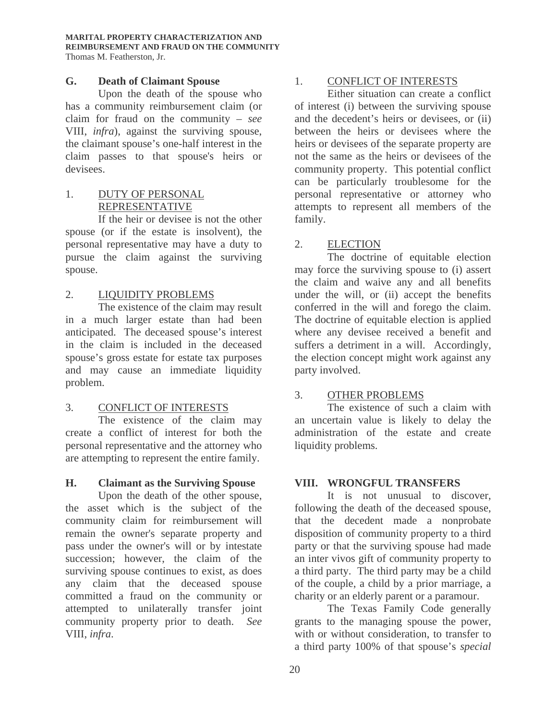#### **G. Death of Claimant Spouse**

Upon the death of the spouse who has a community reimbursement claim (or claim for fraud on the community – *see* VIII, *infra*), against the surviving spouse, the claimant spouse's one-half interest in the claim passes to that spouse's heirs or devisees.

# 1. DUTY OF PERSONAL REPRESENTATIVE

 If the heir or devisee is not the other spouse (or if the estate is insolvent), the personal representative may have a duty to pursue the claim against the surviving spouse.

# 2. LIQUIDITY PROBLEMS

 The existence of the claim may result in a much larger estate than had been anticipated. The deceased spouse's interest in the claim is included in the deceased spouse's gross estate for estate tax purposes and may cause an immediate liquidity problem.

# 3. CONFLICT OF INTERESTS

 The existence of the claim may create a conflict of interest for both the personal representative and the attorney who are attempting to represent the entire family.

# **H. Claimant as the Surviving Spouse**

Upon the death of the other spouse, the asset which is the subject of the community claim for reimbursement will remain the owner's separate property and pass under the owner's will or by intestate succession; however, the claim of the surviving spouse continues to exist, as does any claim that the deceased spouse committed a fraud on the community or attempted to unilaterally transfer joint community property prior to death. *See*  VIII, *infra*.

# 1. CONFLICT OF INTERESTS

 Either situation can create a conflict of interest (i) between the surviving spouse and the decedent's heirs or devisees, or (ii) between the heirs or devisees where the heirs or devisees of the separate property are not the same as the heirs or devisees of the community property. This potential conflict can be particularly troublesome for the personal representative or attorney who attempts to represent all members of the family.

# 2. ELECTION

 The doctrine of equitable election may force the surviving spouse to (i) assert the claim and waive any and all benefits under the will, or (ii) accept the benefits conferred in the will and forego the claim. The doctrine of equitable election is applied where any devisee received a benefit and suffers a detriment in a will. Accordingly, the election concept might work against any party involved.

# 3. OTHER PROBLEMS

 The existence of such a claim with an uncertain value is likely to delay the administration of the estate and create liquidity problems.

# **VIII. WRONGFUL TRANSFERS**

It is not unusual to discover, following the death of the deceased spouse, that the decedent made a nonprobate disposition of community property to a third party or that the surviving spouse had made an inter vivos gift of community property to a third party. The third party may be a child of the couple, a child by a prior marriage, a charity or an elderly parent or a paramour.

The Texas Family Code generally grants to the managing spouse the power, with or without consideration, to transfer to a third party 100% of that spouse's *special*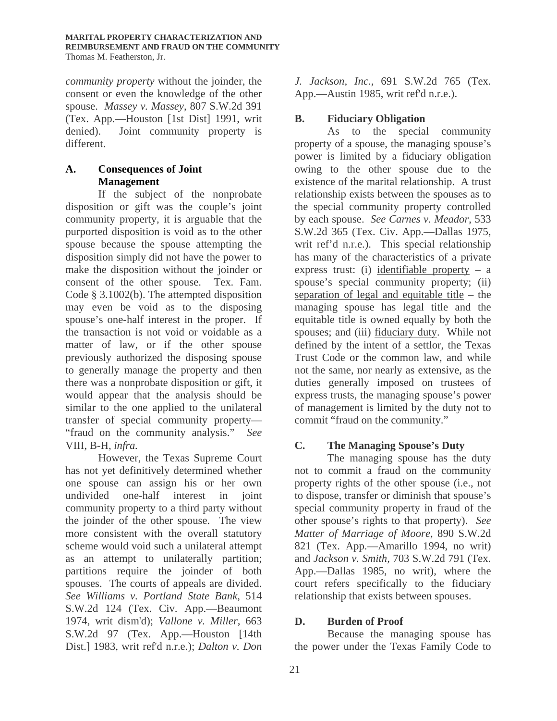*community property* without the joinder, the consent or even the knowledge of the other spouse. *Massey v. Massey*, 807 S.W.2d 391 (Tex. App.—Houston [1st Dist] 1991, writ denied). Joint community property is different.

#### **A. Consequences of Joint Management**

If the subject of the nonprobate disposition or gift was the couple's joint community property, it is arguable that the purported disposition is void as to the other spouse because the spouse attempting the disposition simply did not have the power to make the disposition without the joinder or consent of the other spouse. Tex. Fam. Code § 3.1002(b). The attempted disposition may even be void as to the disposing spouse's one-half interest in the proper. If the transaction is not void or voidable as a matter of law, or if the other spouse previously authorized the disposing spouse to generally manage the property and then there was a nonprobate disposition or gift, it would appear that the analysis should be similar to the one applied to the unilateral transfer of special community property— "fraud on the community analysis." *See* VIII, B-H*, infra.* 

However, the Texas Supreme Court has not yet definitively determined whether one spouse can assign his or her own undivided one-half interest in joint community property to a third party without the joinder of the other spouse. The view more consistent with the overall statutory scheme would void such a unilateral attempt as an attempt to unilaterally partition; partitions require the joinder of both spouses. The courts of appeals are divided. *See Williams v. Portland State Bank*, 514 S.W.2d 124 (Tex. Civ. App.—Beaumont 1974, writ dism'd); *Vallone v. Miller*, 663 S.W.2d 97 (Tex. App.—Houston [14th Dist.] 1983, writ ref'd n.r.e.); *Dalton v. Don* 

*J. Jackson, Inc.,* 691 S.W.2d 765 (Tex. App.—Austin 1985, writ ref'd n.r.e.).

# **B. Fiduciary Obligation**

 As to the special community property of a spouse, the managing spouse's power is limited by a fiduciary obligation owing to the other spouse due to the existence of the marital relationship. A trust relationship exists between the spouses as to the special community property controlled by each spouse. *See Carnes v. Meador*, 533 S.W.2d 365 (Tex. Civ. App.—Dallas 1975, writ ref'd n.r.e.). This special relationship has many of the characteristics of a private express trust: (i) identifiable property  $-$  a spouse's special community property; (ii) separation of legal and equitable title – the managing spouse has legal title and the equitable title is owned equally by both the spouses; and (iii) fiduciary duty. While not defined by the intent of a settlor, the Texas Trust Code or the common law, and while not the same, nor nearly as extensive, as the duties generally imposed on trustees of express trusts, the managing spouse's power of management is limited by the duty not to commit "fraud on the community."

# **C. The Managing Spouse's Duty**

 The managing spouse has the duty not to commit a fraud on the community property rights of the other spouse (i.e., not to dispose, transfer or diminish that spouse's special community property in fraud of the other spouse's rights to that property). *See Matter of Marriage of Moore*, 890 S.W.2d 821 (Tex. App.—Amarillo 1994, no writ) and *Jackson v. Smith,* 703 S.W.2d 791 (Tex. App.—Dallas 1985, no writ), where the court refers specifically to the fiduciary relationship that exists between spouses.

# **D. Burden of Proof**

 Because the managing spouse has the power under the Texas Family Code to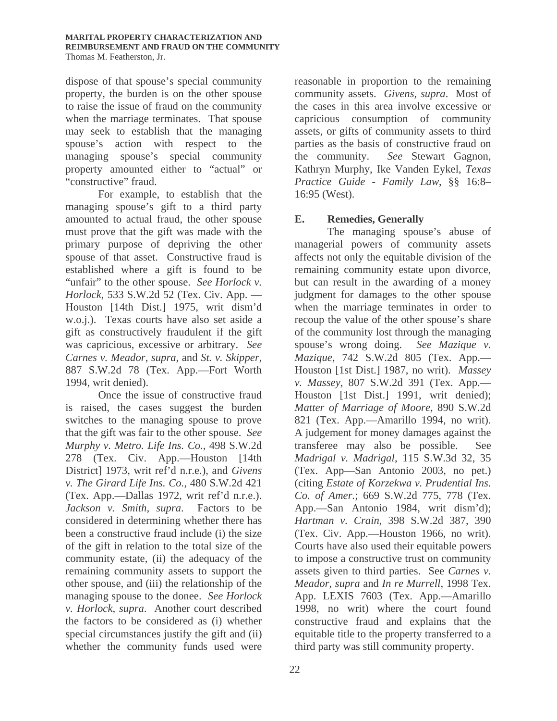dispose of that spouse's special community property, the burden is on the other spouse to raise the issue of fraud on the community when the marriage terminates. That spouse may seek to establish that the managing spouse's action with respect to the managing spouse's special community property amounted either to "actual" or "constructive" fraud.

For example, to establish that the managing spouse's gift to a third party amounted to actual fraud, the other spouse must prove that the gift was made with the primary purpose of depriving the other spouse of that asset. Constructive fraud is established where a gift is found to be "unfair" to the other spouse. *See Horlock v. Horlock*, 533 S.W.2d 52 (Tex. Civ. App. — Houston [14th Dist.] 1975, writ dism'd w.o.j.). Texas courts have also set aside a gift as constructively fraudulent if the gift was capricious, excessive or arbitrary. *See Carnes v. Meador*, *supra*, and *St. v. Skipper*, 887 S.W.2d 78 (Tex. App.—Fort Worth 1994, writ denied).

Once the issue of constructive fraud is raised, the cases suggest the burden switches to the managing spouse to prove that the gift was fair to the other spouse. *See Murphy v. Metro. Life Ins. Co.*, 498 S.W.2d 278 (Tex. Civ. App.—Houston [14th District] 1973, writ ref'd n.r.e.), and *Givens v. The Girard Life Ins. Co.*, 480 S.W.2d 421 (Tex. App.—Dallas 1972, writ ref'd n.r.e.). *Jackson v. Smith*, *supra*. Factors to be considered in determining whether there has been a constructive fraud include (i) the size of the gift in relation to the total size of the community estate, (ii) the adequacy of the remaining community assets to support the other spouse, and (iii) the relationship of the managing spouse to the donee. *See Horlock v. Horlock*, *supra*. Another court described the factors to be considered as (i) whether special circumstances justify the gift and (ii) whether the community funds used were

reasonable in proportion to the remaining community assets. *Givens, supra*. Most of the cases in this area involve excessive or capricious consumption of community assets, or gifts of community assets to third parties as the basis of constructive fraud on the community. *See* Stewart Gagnon, Kathryn Murphy, Ike Vanden Eykel, *Texas Practice Guide - Family Law*, §§ 16:8– 16:95 (West).

# **E. Remedies, Generally**

 The managing spouse's abuse of managerial powers of community assets affects not only the equitable division of the remaining community estate upon divorce, but can result in the awarding of a money judgment for damages to the other spouse when the marriage terminates in order to recoup the value of the other spouse's share of the community lost through the managing spouse's wrong doing. *See Mazique v. Mazique*, 742 S.W.2d 805 (Tex. App.— Houston [1st Dist.] 1987, no writ). *Massey v. Massey*, 807 S.W.2d 391 (Tex. App.— Houston [1st Dist.] 1991, writ denied); *Matter of Marriage of Moore*, 890 S.W.2d 821 (Tex. App.—Amarillo 1994, no writ). A judgement for money damages against the transferee may also be possible. See *Madrigal v. Madrigal*, 115 S.W.3d 32, 35 (Tex. App—San Antonio 2003, no pet.) (citing *Estate of Korzekwa v. Prudential Ins. Co. of Amer.*; 669 S.W.2d 775, 778 (Tex. App.—San Antonio 1984, writ dism'd); *Hartman v. Crain,* 398 S.W.2d 387, 390 (Tex. Civ. App.—Houston 1966, no writ). Courts have also used their equitable powers to impose a constructive trust on community assets given to third parties. See *Carnes v. Meador*, *supra* and *In re Murrell*, 1998 Tex. App. LEXIS 7603 (Tex. App.—Amarillo 1998, no writ) where the court found constructive fraud and explains that the equitable title to the property transferred to a third party was still community property.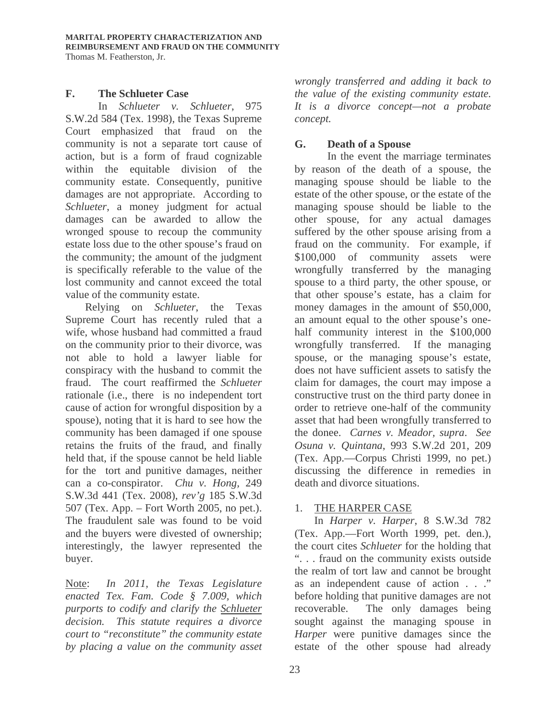#### **F. The Schlueter Case**

 In *Schlueter v. Schlueter*, 975 S.W.2d 584 (Tex. 1998), the Texas Supreme Court emphasized that fraud on the community is not a separate tort cause of action, but is a form of fraud cognizable within the equitable division of the community estate. Consequently, punitive damages are not appropriate. According to *Schlueter*, a money judgment for actual damages can be awarded to allow the wronged spouse to recoup the community estate loss due to the other spouse's fraud on the community; the amount of the judgment is specifically referable to the value of the lost community and cannot exceed the total value of the community estate.

Relying on *Schlueter*, the Texas Supreme Court has recently ruled that a wife, whose husband had committed a fraud on the community prior to their divorce, was not able to hold a lawyer liable for conspiracy with the husband to commit the fraud. The court reaffirmed the *Schlueter* rationale (i.e., there is no independent tort cause of action for wrongful disposition by a spouse), noting that it is hard to see how the community has been damaged if one spouse retains the fruits of the fraud, and finally held that, if the spouse cannot be held liable for the tort and punitive damages, neither can a co-conspirator. *Chu v. Hong,* 249 S.W.3d 441 (Tex. 2008), *rev'g* 185 S.W.3d 507 (Tex. App. – Fort Worth 2005, no pet.). The fraudulent sale was found to be void and the buyers were divested of ownership; interestingly, the lawyer represented the buyer.

Note: *In 2011, the Texas Legislature enacted Tex. Fam. Code § 7.009, which purports to codify and clarify the Schlueter decision. This statute requires a divorce court to "reconstitute" the community estate by placing a value on the community asset* 

*wrongly transferred and adding it back to the value of the existing community estate. It is a divorce concept—not a probate concept.* 

# **G. Death of a Spouse**

 In the event the marriage terminates by reason of the death of a spouse, the managing spouse should be liable to the estate of the other spouse, or the estate of the managing spouse should be liable to the other spouse, for any actual damages suffered by the other spouse arising from a fraud on the community. For example, if \$100,000 of community assets were wrongfully transferred by the managing spouse to a third party, the other spouse, or that other spouse's estate, has a claim for money damages in the amount of \$50,000, an amount equal to the other spouse's onehalf community interest in the \$100,000 wrongfully transferred. If the managing spouse, or the managing spouse's estate, does not have sufficient assets to satisfy the claim for damages, the court may impose a constructive trust on the third party donee in order to retrieve one-half of the community asset that had been wrongfully transferred to the donee. *Carnes v. Meador, supra*. *See Osuna v. Quintana*, 993 S.W.2d 201, 209 (Tex. App.—Corpus Christi 1999, no pet.) discussing the difference in remedies in death and divorce situations.

# 1. THE HARPER CASE

In *Harper v. Harper*, 8 S.W.3d 782 (Tex. App.—Fort Worth 1999, pet. den.), the court cites *Schlueter* for the holding that ". . . fraud on the community exists outside the realm of tort law and cannot be brought as an independent cause of action . . ." before holding that punitive damages are not recoverable. The only damages being sought against the managing spouse in *Harper* were punitive damages since the estate of the other spouse had already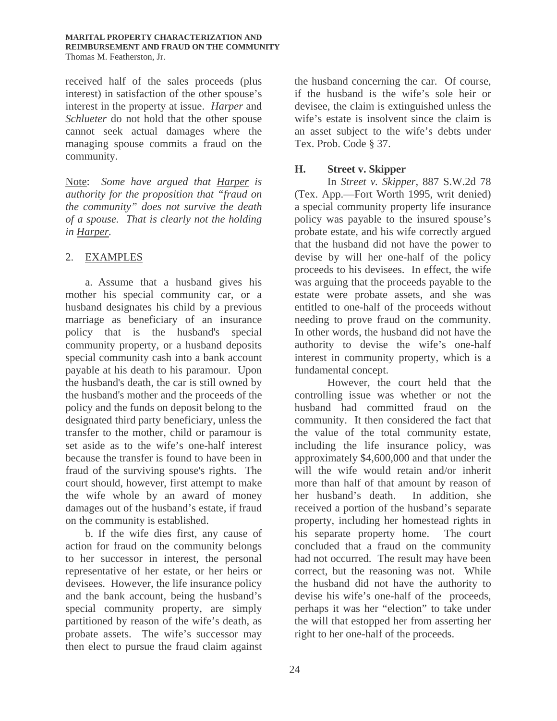received half of the sales proceeds (plus interest) in satisfaction of the other spouse's interest in the property at issue. *Harper* and *Schlueter* do not hold that the other spouse cannot seek actual damages where the managing spouse commits a fraud on the community.

Note: *Some have argued that Harper is authority for the proposition that "fraud on the community" does not survive the death of a spouse. That is clearly not the holding in Harper.* 

# 2. EXAMPLES

a. Assume that a husband gives his mother his special community car, or a husband designates his child by a previous marriage as beneficiary of an insurance policy that is the husband's special community property, or a husband deposits special community cash into a bank account payable at his death to his paramour. Upon the husband's death, the car is still owned by the husband's mother and the proceeds of the policy and the funds on deposit belong to the designated third party beneficiary, unless the transfer to the mother, child or paramour is set aside as to the wife's one-half interest because the transfer is found to have been in fraud of the surviving spouse's rights. The court should, however, first attempt to make the wife whole by an award of money damages out of the husband's estate, if fraud on the community is established.

b. If the wife dies first, any cause of action for fraud on the community belongs to her successor in interest, the personal representative of her estate, or her heirs or devisees. However, the life insurance policy and the bank account, being the husband's special community property, are simply partitioned by reason of the wife's death, as probate assets. The wife's successor may then elect to pursue the fraud claim against

the husband concerning the car. Of course, if the husband is the wife's sole heir or devisee, the claim is extinguished unless the wife's estate is insolvent since the claim is an asset subject to the wife's debts under Tex. Prob. Code § 37.

# **H. Street v. Skipper**

In *Street v. Skipper*, 887 S.W.2d 78 (Tex. App.—Fort Worth 1995, writ denied) a special community property life insurance policy was payable to the insured spouse's probate estate, and his wife correctly argued that the husband did not have the power to devise by will her one-half of the policy proceeds to his devisees. In effect, the wife was arguing that the proceeds payable to the estate were probate assets, and she was entitled to one-half of the proceeds without needing to prove fraud on the community. In other words, the husband did not have the authority to devise the wife's one-half interest in community property, which is a fundamental concept.

However, the court held that the controlling issue was whether or not the husband had committed fraud on the community. It then considered the fact that the value of the total community estate, including the life insurance policy, was approximately \$4,600,000 and that under the will the wife would retain and/or inherit more than half of that amount by reason of her husband's death. In addition, she received a portion of the husband's separate property, including her homestead rights in his separate property home. The court concluded that a fraud on the community had not occurred. The result may have been correct, but the reasoning was not. While the husband did not have the authority to devise his wife's one-half of the proceeds, perhaps it was her "election" to take under the will that estopped her from asserting her right to her one-half of the proceeds.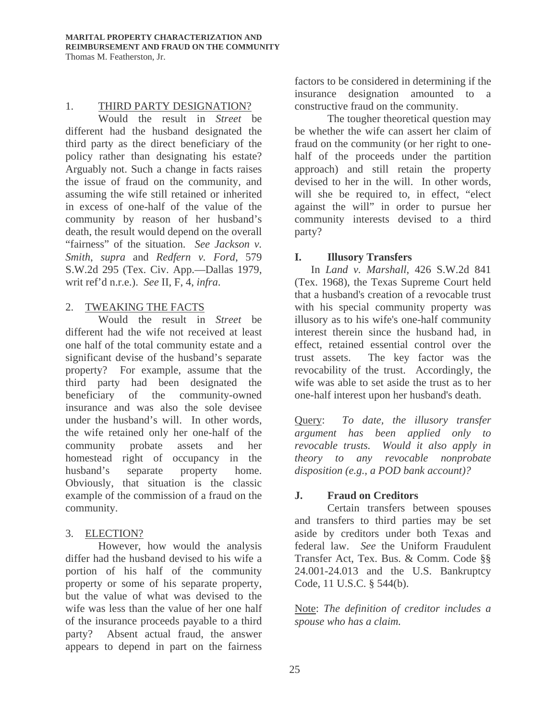#### 1. THIRD PARTY DESIGNATION?

Would the result in *Street* be different had the husband designated the third party as the direct beneficiary of the policy rather than designating his estate? Arguably not. Such a change in facts raises the issue of fraud on the community, and assuming the wife still retained or inherited in excess of one-half of the value of the community by reason of her husband's death, the result would depend on the overall "fairness" of the situation. *See Jackson v. Smith*, *supra* and *Redfern v. Ford*, 579 S.W.2d 295 (Tex. Civ. App.—Dallas 1979, writ ref'd n.r.e.). *See* II, F, 4, *infra*.

# 2. TWEAKING THE FACTS

Would the result in *Street* be different had the wife not received at least one half of the total community estate and a significant devise of the husband's separate property? For example, assume that the third party had been designated the beneficiary of the community-owned insurance and was also the sole devisee under the husband's will. In other words, the wife retained only her one-half of the community probate assets and her homestead right of occupancy in the husband's separate property home. Obviously, that situation is the classic example of the commission of a fraud on the community.

# 3. ELECTION?

However, how would the analysis differ had the husband devised to his wife a portion of his half of the community property or some of his separate property, but the value of what was devised to the wife was less than the value of her one half of the insurance proceeds payable to a third party? Absent actual fraud, the answer appears to depend in part on the fairness

factors to be considered in determining if the insurance designation amounted to a constructive fraud on the community.

The tougher theoretical question may be whether the wife can assert her claim of fraud on the community (or her right to onehalf of the proceeds under the partition approach) and still retain the property devised to her in the will. In other words, will she be required to, in effect, "elect against the will" in order to pursue her community interests devised to a third party?

# **I. Illusory Transfers**

In *Land v. Marshall*, 426 S.W.2d 841 (Tex. 1968), the Texas Supreme Court held that a husband's creation of a revocable trust with his special community property was illusory as to his wife's one-half community interest therein since the husband had, in effect, retained essential control over the trust assets. The key factor was the revocability of the trust. Accordingly, the wife was able to set aside the trust as to her one-half interest upon her husband's death.

Query: *To date, the illusory transfer argument has been applied only to revocable trusts. Would it also apply in theory to any revocable nonprobate disposition (e.g., a POD bank account)?* 

# **J. Fraud on Creditors**

Certain transfers between spouses and transfers to third parties may be set aside by creditors under both Texas and federal law. *See* the Uniform Fraudulent Transfer Act, Tex. Bus. & Comm. Code §§ 24.001-24.013 and the U.S. Bankruptcy Code, 11 U.S.C. § 544(b).

Note: *The definition of creditor includes a spouse who has a claim.*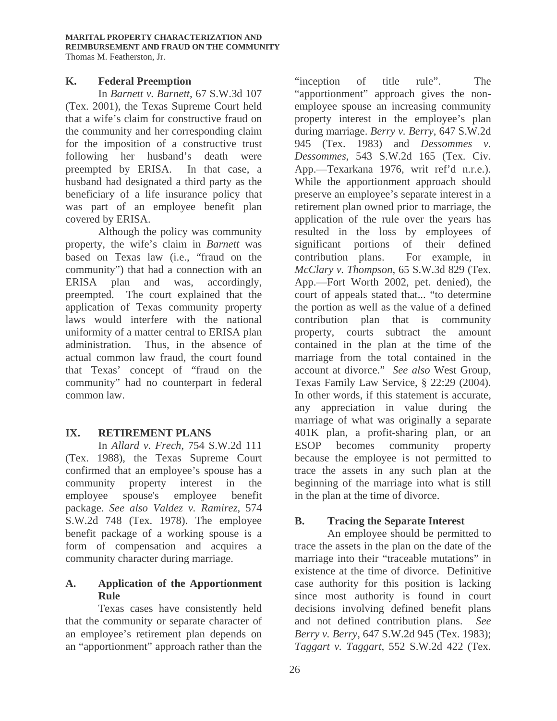# **K. Federal Preemption**

In *Barnett v. Barnett*, 67 S.W.3d 107 (Tex. 2001), the Texas Supreme Court held that a wife's claim for constructive fraud on the community and her corresponding claim for the imposition of a constructive trust following her husband's death were preempted by ERISA. In that case, a husband had designated a third party as the beneficiary of a life insurance policy that was part of an employee benefit plan covered by ERISA.

Although the policy was community property, the wife's claim in *Barnett* was based on Texas law (i.e., "fraud on the community") that had a connection with an ERISA plan and was, accordingly, preempted. The court explained that the application of Texas community property laws would interfere with the national uniformity of a matter central to ERISA plan administration. Thus, in the absence of actual common law fraud, the court found that Texas' concept of "fraud on the community" had no counterpart in federal common law.

# **IX. RETIREMENT PLANS**

 In *Allard v. Frech*, 754 S.W.2d 111 (Tex. 1988), the Texas Supreme Court confirmed that an employee's spouse has a community property interest in the employee spouse's employee benefit package. *See also Valdez v. Ramirez*, 574 S.W.2d 748 (Tex. 1978). The employee benefit package of a working spouse is a form of compensation and acquires a community character during marriage.

# **A. Application of the Apportionment Rule**

Texas cases have consistently held that the community or separate character of an employee's retirement plan depends on an "apportionment" approach rather than the

"inception of title rule". The "apportionment" approach gives the nonemployee spouse an increasing community property interest in the employee's plan during marriage. *Berry v. Berry*, 647 S.W.2d 945 (Tex. 1983) and *Dessommes v. Dessommes*, 543 S.W.2d 165 (Tex. Civ. App.—Texarkana 1976, writ ref'd n.r.e.). While the apportionment approach should preserve an employee's separate interest in a retirement plan owned prior to marriage, the application of the rule over the years has resulted in the loss by employees of significant portions of their defined contribution plans. For example, in *McClary v. Thompson*, 65 S.W.3d 829 (Tex. App.—Fort Worth 2002, pet. denied), the court of appeals stated that... "to determine the portion as well as the value of a defined contribution plan that is community property, courts subtract the amount contained in the plan at the time of the marriage from the total contained in the account at divorce." *See also* West Group, Texas Family Law Service, § 22:29 (2004). In other words, if this statement is accurate, any appreciation in value during the marriage of what was originally a separate 401K plan, a profit-sharing plan, or an ESOP becomes community property because the employee is not permitted to trace the assets in any such plan at the beginning of the marriage into what is still in the plan at the time of divorce.

# **B. Tracing the Separate Interest**

 An employee should be permitted to trace the assets in the plan on the date of the marriage into their "traceable mutations" in existence at the time of divorce. Definitive case authority for this position is lacking since most authority is found in court decisions involving defined benefit plans and not defined contribution plans. *See Berry v. Berry*, 647 S.W.2d 945 (Tex. 1983); *Taggart v. Taggart*, 552 S.W.2d 422 (Tex.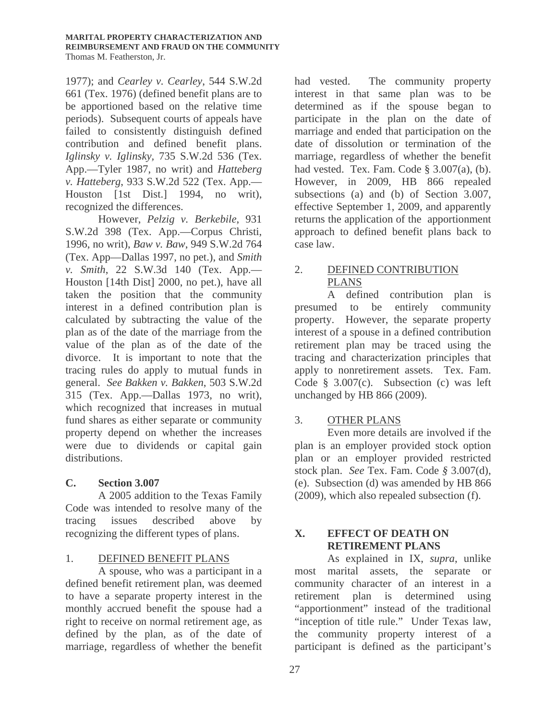1977); and *Cearley v. Cearley*, 544 S.W.2d 661 (Tex. 1976) (defined benefit plans are to be apportioned based on the relative time periods). Subsequent courts of appeals have failed to consistently distinguish defined contribution and defined benefit plans. *Iglinsky v. Iglinsky,* 735 S.W.2d 536 (Tex. App.—Tyler 1987, no writ) and *Hatteberg v. Hatteberg*, 933 S.W.2d 522 (Tex. App.— Houston [1st Dist.] 1994, no writ), recognized the differences.

However, *Pelzig v. Berkebile*, 931 S.W.2d 398 (Tex. App.—Corpus Christi, 1996, no writ), *Baw v. Baw*, 949 S.W.2d 764 (Tex. App—Dallas 1997, no pet.), and *Smith v. Smith*, 22 S.W.3d 140 (Tex. App.— Houston [14th Dist] 2000, no pet.), have all taken the position that the community interest in a defined contribution plan is calculated by subtracting the value of the plan as of the date of the marriage from the value of the plan as of the date of the divorce. It is important to note that the tracing rules do apply to mutual funds in general. *See Bakken v. Bakken*, 503 S.W.2d 315 (Tex. App.—Dallas 1973, no writ), which recognized that increases in mutual fund shares as either separate or community property depend on whether the increases were due to dividends or capital gain distributions.

# **C. Section 3.007**

 A 2005 addition to the Texas Family Code was intended to resolve many of the tracing issues described above by recognizing the different types of plans.

# 1. DEFINED BENEFIT PLANS

 A spouse, who was a participant in a defined benefit retirement plan, was deemed to have a separate property interest in the monthly accrued benefit the spouse had a right to receive on normal retirement age, as defined by the plan, as of the date of marriage, regardless of whether the benefit had vested. The community property interest in that same plan was to be determined as if the spouse began to participate in the plan on the date of marriage and ended that participation on the date of dissolution or termination of the marriage, regardless of whether the benefit had vested. Tex. Fam. Code  $\S$  3.007(a), (b). However, in 2009, HB 866 repealed subsections (a) and (b) of Section 3.007, effective September 1, 2009, and apparently returns the application of the apportionment approach to defined benefit plans back to case law.

# 2. DEFINED CONTRIBUTION PLANS

A defined contribution plan is presumed to be entirely community property. However, the separate property interest of a spouse in a defined contribution retirement plan may be traced using the tracing and characterization principles that apply to nonretirement assets. Tex. Fam. Code § 3.007(c). Subsection (c) was left unchanged by HB 866 (2009).

# 3. OTHER PLANS

Even more details are involved if the plan is an employer provided stock option plan or an employer provided restricted stock plan. *See* Tex. Fam. Code *§* 3.007(d), (e). Subsection (d) was amended by HB 866 (2009), which also repealed subsection (f).

# **X. EFFECT OF DEATH ON RETIREMENT PLANS**

As explained in IX, *supra*, unlike most marital assets, the separate or community character of an interest in a retirement plan is determined using "apportionment" instead of the traditional "inception of title rule." Under Texas law, the community property interest of a participant is defined as the participant's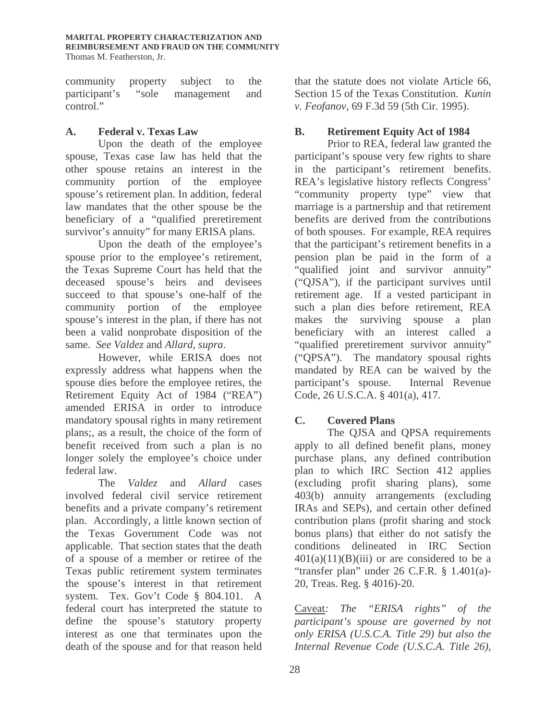community property subject to the participant's "sole management and control."

# **A. Federal v. Texas Law**

Upon the death of the employee spouse, Texas case law has held that the other spouse retains an interest in the community portion of the employee spouse's retirement plan. In addition, federal law mandates that the other spouse be the beneficiary of a "qualified preretirement survivor's annuity" for many ERISA plans.

Upon the death of the employee's spouse prior to the employee's retirement, the Texas Supreme Court has held that the deceased spouse's heirs and devisees succeed to that spouse's one-half of the community portion of the employee spouse's interest in the plan, if there has not been a valid nonprobate disposition of the same. *See Valdez* and *Allard, supra*.

However, while ERISA does not expressly address what happens when the spouse dies before the employee retires, the Retirement Equity Act of 1984 ("REA") amended ERISA in order to introduce mandatory spousal rights in many retirement plans;, as a result, the choice of the form of benefit received from such a plan is no longer solely the employee's choice under federal law.

The *Valdez* and *Allard* cases involved federal civil service retirement benefits and a private company's retirement plan. Accordingly, a little known section of the Texas Government Code was not applicable. That section states that the death of a spouse of a member or retiree of the Texas public retirement system terminates the spouse's interest in that retirement system. Tex. Gov't Code § 804.101. A federal court has interpreted the statute to define the spouse's statutory property interest as one that terminates upon the death of the spouse and for that reason held that the statute does not violate Article 66, Section 15 of the Texas Constitution. *Kunin v. Feofanov*, 69 F.3d 59 (5th Cir. 1995).

# **B. Retirement Equity Act of 1984**

 Prior to REA, federal law granted the participant's spouse very few rights to share in the participant's retirement benefits. REA's legislative history reflects Congress' "community property type" view that marriage is a partnership and that retirement benefits are derived from the contributions of both spouses. For example, REA requires that the participant's retirement benefits in a pension plan be paid in the form of a "qualified joint and survivor annuity" ("QJSA"), if the participant survives until retirement age. If a vested participant in such a plan dies before retirement, REA makes the surviving spouse a plan beneficiary with an interest called a "qualified preretirement survivor annuity" ("QPSA"). The mandatory spousal rights mandated by REA can be waived by the participant's spouse. Internal Revenue Code, 26 U.S.C.A. § 401(a), 417.

# **C. Covered Plans**

 The QJSA and QPSA requirements apply to all defined benefit plans, money purchase plans, any defined contribution plan to which IRC Section 412 applies (excluding profit sharing plans), some 403(b) annuity arrangements (excluding IRAs and SEPs), and certain other defined contribution plans (profit sharing and stock bonus plans) that either do not satisfy the conditions delineated in IRC Section  $401(a)(11)(B)(iii)$  or are considered to be a "transfer plan" under 26 C.F.R. § 1.401(a)- 20, Treas. Reg. § 4016)-20.

Caveat*: The "ERISA rights" of the participant's spouse are governed by not only ERISA (U.S.C.A. Title 29) but also the Internal Revenue Code (U.S.C.A. Title 26),*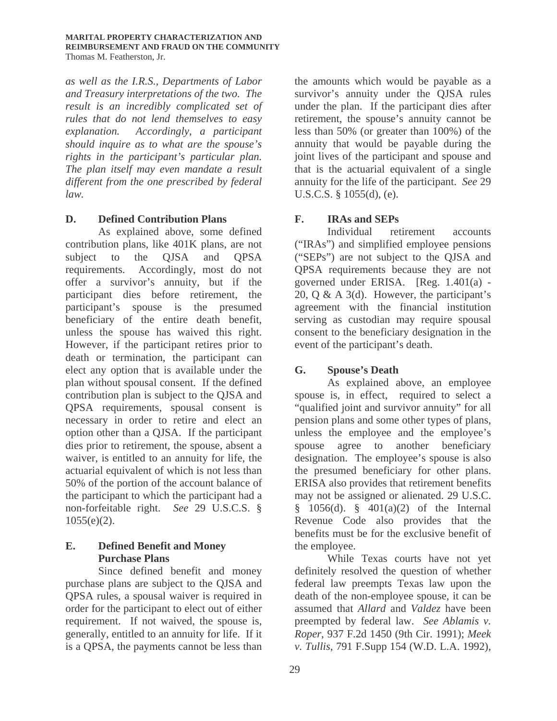*as well as the I.R.S., Departments of Labor and Treasury interpretations of the two. The result is an incredibly complicated set of rules that do not lend themselves to easy explanation. Accordingly, a participant should inquire as to what are the spouse's rights in the participant's particular plan. The plan itself may even mandate a result different from the one prescribed by federal law.* 

# **D. Defined Contribution Plans**

 As explained above, some defined contribution plans, like 401K plans, are not subject to the QJSA and QPSA requirements. Accordingly, most do not offer a survivor's annuity, but if the participant dies before retirement, the participant's spouse is the presumed beneficiary of the entire death benefit, unless the spouse has waived this right. However, if the participant retires prior to death or termination, the participant can elect any option that is available under the plan without spousal consent. If the defined contribution plan is subject to the QJSA and QPSA requirements, spousal consent is necessary in order to retire and elect an option other than a QJSA. If the participant dies prior to retirement, the spouse, absent a waiver, is entitled to an annuity for life, the actuarial equivalent of which is not less than 50% of the portion of the account balance of the participant to which the participant had a non-forfeitable right. *See* 29 U.S.C.S. §  $1055(e)(2)$ .

# **E. Defined Benefit and Money Purchase Plans**

 Since defined benefit and money purchase plans are subject to the QJSA and QPSA rules, a spousal waiver is required in order for the participant to elect out of either requirement. If not waived, the spouse is, generally, entitled to an annuity for life. If it is a QPSA, the payments cannot be less than

the amounts which would be payable as a survivor's annuity under the QJSA rules under the plan. If the participant dies after retirement, the spouse's annuity cannot be less than 50% (or greater than 100%) of the annuity that would be payable during the joint lives of the participant and spouse and that is the actuarial equivalent of a single annuity for the life of the participant. *See* 29 U.S.C.S. § 1055(d), (e).

# **F. IRAs and SEPs**

 Individual retirement accounts ("IRAs") and simplified employee pensions ("SEPs") are not subject to the QJSA and QPSA requirements because they are not governed under ERISA. [Reg. 1.401(a) - 20, Q & A 3(d). However, the participant's agreement with the financial institution serving as custodian may require spousal consent to the beneficiary designation in the event of the participant's death.

# **G. Spouse's Death**

As explained above, an employee spouse is, in effect, required to select a "qualified joint and survivor annuity" for all pension plans and some other types of plans, unless the employee and the employee's spouse agree to another beneficiary designation. The employee's spouse is also the presumed beneficiary for other plans. ERISA also provides that retirement benefits may not be assigned or alienated. 29 U.S.C. § 1056(d). § 401(a)(2) of the Internal Revenue Code also provides that the benefits must be for the exclusive benefit of the employee.

While Texas courts have not yet definitely resolved the question of whether federal law preempts Texas law upon the death of the non-employee spouse, it can be assumed that *Allard* and *Valdez* have been preempted by federal law. *See Ablamis v. Roper*, 937 F.2d 1450 (9th Cir. 1991); *Meek v. Tullis*, 791 F.Supp 154 (W.D. L.A. 1992),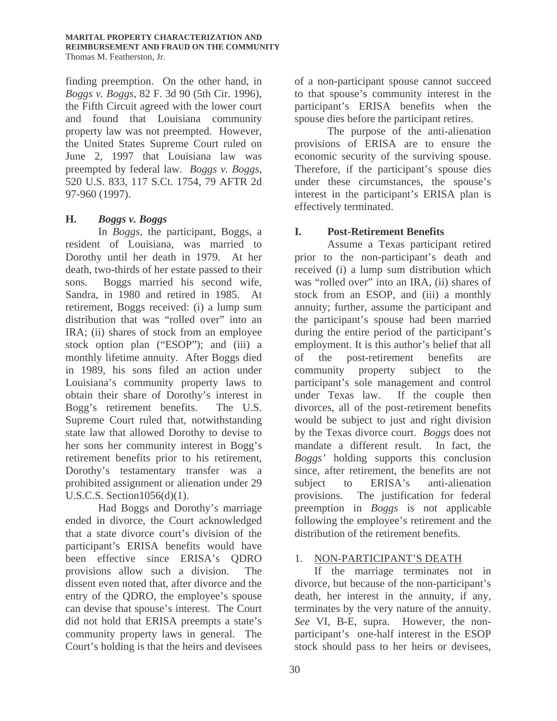finding preemption. On the other hand, in *Boggs v. Boggs*, 82 F. 3d 90 (5th Cir. 1996), the Fifth Circuit agreed with the lower court and found that Louisiana community property law was not preempted. However, the United States Supreme Court ruled on June 2, 1997 that Louisiana law was preempted by federal law. *Boggs v. Boggs*, 520 U.S. 833, 117 S.Ct. 1754, 79 AFTR 2d 97-960 (1997).

# **H.** *Boggs v. Boggs*

 In *Boggs*, the participant, Boggs, a resident of Louisiana, was married to Dorothy until her death in 1979. At her death, two-thirds of her estate passed to their sons. Boggs married his second wife, Sandra, in 1980 and retired in 1985. At retirement, Boggs received: (i) a lump sum distribution that was "rolled over" into an IRA; (ii) shares of stock from an employee stock option plan ("ESOP"); and (iii) a monthly lifetime annuity. After Boggs died in 1989, his sons filed an action under Louisiana's community property laws to obtain their share of Dorothy's interest in Bogg's retirement benefits. The U.S. Supreme Court ruled that, notwithstanding state law that allowed Dorothy to devise to her sons her community interest in Bogg's retirement benefits prior to his retirement, Dorothy's testamentary transfer was a prohibited assignment or alienation under 29 U.S.C.S. Section1056(d)(1).

Had Boggs and Dorothy's marriage ended in divorce, the Court acknowledged that a state divorce court's division of the participant's ERISA benefits would have been effective since ERISA's QDRO provisions allow such a division. The dissent even noted that, after divorce and the entry of the QDRO, the employee's spouse can devise that spouse's interest. The Court did not hold that ERISA preempts a state's community property laws in general. The Court's holding is that the heirs and devisees

of a non-participant spouse cannot succeed to that spouse's community interest in the participant's ERISA benefits when the spouse dies before the participant retires.

The purpose of the anti-alienation provisions of ERISA are to ensure the economic security of the surviving spouse. Therefore, if the participant's spouse dies under these circumstances, the spouse's interest in the participant's ERISA plan is effectively terminated.

# **I. Post-Retirement Benefits**

 Assume a Texas participant retired prior to the non-participant's death and received (i) a lump sum distribution which was "rolled over" into an IRA, (ii) shares of stock from an ESOP, and (iii) a monthly annuity; further, assume the participant and the participant's spouse had been married during the entire period of the participant's employment. It is this author's belief that all of the post-retirement benefits are community property subject to the participant's sole management and control under Texas law. If the couple then divorces, all of the post-retirement benefits would be subject to just and right division by the Texas divorce court. *Boggs* does not mandate a different result. In fact, the *Boggs'* holding supports this conclusion since, after retirement, the benefits are not subject to ERISA's anti-alienation provisions. The justification for federal preemption in *Boggs* is not applicable following the employee's retirement and the distribution of the retirement benefits.

# 1. NON-PARTICIPANT'S DEATH

If the marriage terminates not in divorce, but because of the non-participant's death, her interest in the annuity, if any, terminates by the very nature of the annuity. *See* VI, B-E, supra. However, the nonparticipant's one-half interest in the ESOP stock should pass to her heirs or devisees,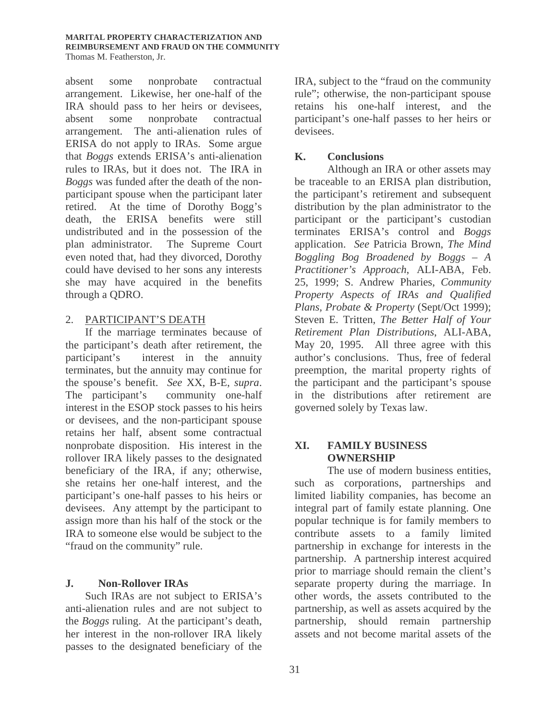#### **MARITAL PROPERTY CHARACTERIZATION AND REIMBURSEMENT AND FRAUD ON THE COMMUNITY** Thomas M. Featherston, Jr.

absent some nonprobate contractual arrangement. Likewise, her one-half of the IRA should pass to her heirs or devisees, absent some nonprobate contractual arrangement. The anti-alienation rules of ERISA do not apply to IRAs. Some argue that *Boggs* extends ERISA's anti-alienation rules to IRAs, but it does not. The IRA in *Boggs* was funded after the death of the nonparticipant spouse when the participant later retired. At the time of Dorothy Bogg's death, the ERISA benefits were still undistributed and in the possession of the plan administrator. The Supreme Court even noted that, had they divorced, Dorothy could have devised to her sons any interests she may have acquired in the benefits through a QDRO.

#### 2. PARTICIPANT'S DEATH

If the marriage terminates because of the participant's death after retirement, the participant's interest in the annuity terminates, but the annuity may continue for the spouse's benefit. *See* XX, B-E, *supra*. The participant's community one-half interest in the ESOP stock passes to his heirs or devisees, and the non-participant spouse retains her half, absent some contractual nonprobate disposition. His interest in the rollover IRA likely passes to the designated beneficiary of the IRA, if any; otherwise, she retains her one-half interest, and the participant's one-half passes to his heirs or devisees. Any attempt by the participant to assign more than his half of the stock or the IRA to someone else would be subject to the "fraud on the community" rule.

# **J. Non-Rollover IRAs**

Such IRAs are not subject to ERISA's anti-alienation rules and are not subject to the *Boggs* ruling. At the participant's death, her interest in the non-rollover IRA likely passes to the designated beneficiary of the

IRA, subject to the "fraud on the community rule"; otherwise, the non-participant spouse retains his one-half interest, and the participant's one-half passes to her heirs or devisees.

#### **K. Conclusions**

 Although an IRA or other assets may be traceable to an ERISA plan distribution, the participant's retirement and subsequent distribution by the plan administrator to the participant or the participant's custodian terminates ERISA's control and *Boggs*  application. *See* Patricia Brown, *The Mind Boggling Bog Broadened by Boggs – A Practitioner's Approach*, ALI-ABA*,* Feb. 25, 1999; S. Andrew Pharies, *Community Property Aspects of IRAs and Qualified Plans, Probate & Property* (Sept/Oct 1999); Steven E. Tritten, *The Better Half of Your Retirement Plan Distributions*, ALI-ABA, May 20, 1995. All three agree with this author's conclusions. Thus, free of federal preemption, the marital property rights of the participant and the participant's spouse in the distributions after retirement are governed solely by Texas law.

# **XI. FAMILY BUSINESS OWNERSHIP**

The use of modern business entities, such as corporations, partnerships and limited liability companies, has become an integral part of family estate planning. One popular technique is for family members to contribute assets to a family limited partnership in exchange for interests in the partnership. A partnership interest acquired prior to marriage should remain the client's separate property during the marriage. In other words, the assets contributed to the partnership, as well as assets acquired by the partnership, should remain partnership assets and not become marital assets of the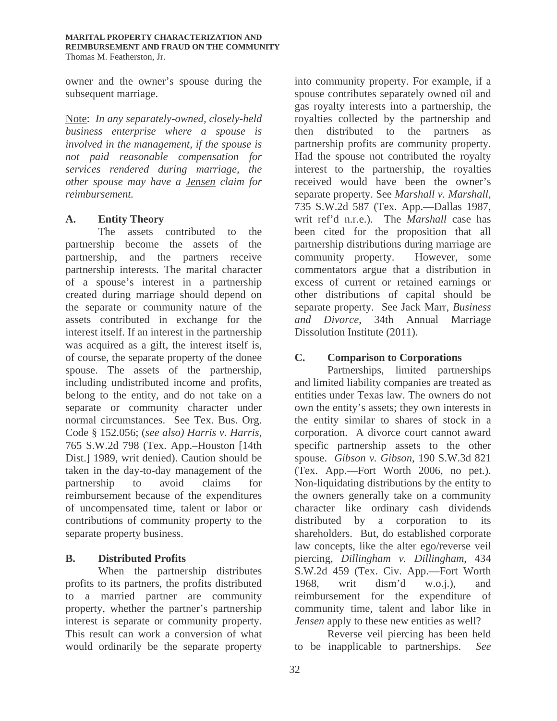owner and the owner's spouse during the subsequent marriage.

Note: *In any separately-owned, closely-held business enterprise where a spouse is involved in the management, if the spouse is not paid reasonable compensation for services rendered during marriage, the other spouse may have a Jensen claim for reimbursement.* 

# **A. Entity Theory**

The assets contributed to the partnership become the assets of the partnership, and the partners receive partnership interests. The marital character of a spouse's interest in a partnership created during marriage should depend on the separate or community nature of the assets contributed in exchange for the interest itself. If an interest in the partnership was acquired as a gift, the interest itself is, of course, the separate property of the donee spouse. The assets of the partnership, including undistributed income and profits, belong to the entity, and do not take on a separate or community character under normal circumstances. See Tex. Bus. Org. Code § 152.056; (*see also) Harris v. Harris*, 765 S.W.2d 798 (Tex. App.–Houston [14th Dist.] 1989, writ denied). Caution should be taken in the day-to-day management of the partnership to avoid claims for reimbursement because of the expenditures of uncompensated time, talent or labor or contributions of community property to the separate property business.

# **B. Distributed Profits**

When the partnership distributes profits to its partners, the profits distributed to a married partner are community property, whether the partner's partnership interest is separate or community property. This result can work a conversion of what would ordinarily be the separate property

into community property. For example, if a spouse contributes separately owned oil and gas royalty interests into a partnership, the royalties collected by the partnership and then distributed to the partners as partnership profits are community property. Had the spouse not contributed the royalty interest to the partnership, the royalties received would have been the owner's separate property. See *Marshall v. Marshall*, 735 S.W.2d 587 (Tex. App.—Dallas 1987, writ ref'd n.r.e.). The *Marshall* case has been cited for the proposition that all partnership distributions during marriage are community property. However, some commentators argue that a distribution in excess of current or retained earnings or other distributions of capital should be separate property. See Jack Marr, *Business and Divorce*, 34th Annual Marriage Dissolution Institute (2011).

# **C. Comparison to Corporations**

Partnerships, limited partnerships and limited liability companies are treated as entities under Texas law. The owners do not own the entity's assets; they own interests in the entity similar to shares of stock in a corporation. A divorce court cannot award specific partnership assets to the other spouse. *Gibson v. Gibson,* 190 S.W.3d 821 (Tex. App.—Fort Worth 2006, no pet.). Non-liquidating distributions by the entity to the owners generally take on a community character like ordinary cash dividends distributed by a corporation to its shareholders. But, do established corporate law concepts, like the alter ego/reverse veil piercing, *Dillingham v. Dillingham*, 434 S.W.2d 459 (Tex. Civ. App.—Fort Worth 1968, writ dism'd w.o.j.), and reimbursement for the expenditure of community time, talent and labor like in *Jensen* apply to these new entities as well?

Reverse veil piercing has been held to be inapplicable to partnerships. *See*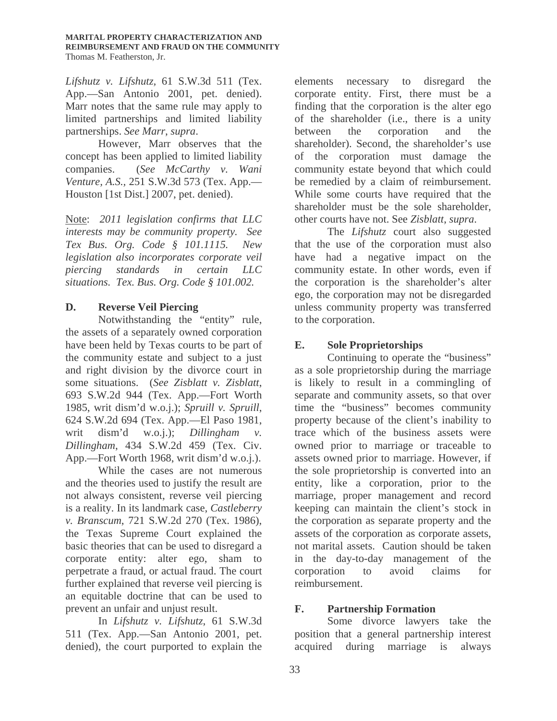*Lifshutz v. Lifshutz,* 61 S.W.3d 511 (Tex. App.—San Antonio 2001, pet. denied). Marr notes that the same rule may apply to limited partnerships and limited liability partnerships. *See Marr*, *supra*.

However, Marr observes that the concept has been applied to limited liability companies. (*See McCarthy v. Wani Venture, A.S.,* 251 S.W.3d 573 (Tex. App.— Houston [1st Dist.] 2007, pet. denied).

Note: *2011 legislation confirms that LLC interests may be community property. See Tex Bus. Org. Code § 101.1115. New legislation also incorporates corporate veil piercing standards in certain LLC situations. Tex. Bus. Org. Code § 101.002.* 

# **D. Reverse Veil Piercing**

Notwithstanding the "entity" rule, the assets of a separately owned corporation have been held by Texas courts to be part of the community estate and subject to a just and right division by the divorce court in some situations. (*See Zisblatt v. Zisblatt*, 693 S.W.2d 944 (Tex. App.—Fort Worth 1985, writ dism'd w.o.j.); *Spruill v. Spruill*, 624 S.W.2d 694 (Tex. App.—El Paso 1981, writ dism'd w.o.j.); *Dillingham v. Dillingham*, 434 S.W.2d 459 (Tex. Civ. App.—Fort Worth 1968, writ dism'd w.o.j.).

While the cases are not numerous and the theories used to justify the result are not always consistent, reverse veil piercing is a reality. In its landmark case, *Castleberry v. Branscum*, 721 S.W.2d 270 (Tex. 1986), the Texas Supreme Court explained the basic theories that can be used to disregard a corporate entity: alter ego, sham to perpetrate a fraud, or actual fraud. The court further explained that reverse veil piercing is an equitable doctrine that can be used to prevent an unfair and unjust result.

In *Lifshutz v. Lifshutz*, 61 S.W.3d 511 (Tex. App.—San Antonio 2001, pet. denied), the court purported to explain the

elements necessary to disregard the corporate entity. First, there must be a finding that the corporation is the alter ego of the shareholder (i.e., there is a unity between the corporation and the shareholder). Second, the shareholder's use of the corporation must damage the community estate beyond that which could be remedied by a claim of reimbursement. While some courts have required that the shareholder must be the sole shareholder, other courts have not. See *Zisblatt*, *supra*.

The *Lifshutz* court also suggested that the use of the corporation must also have had a negative impact on the community estate. In other words, even if the corporation is the shareholder's alter ego, the corporation may not be disregarded unless community property was transferred to the corporation.

# **E. Sole Proprietorships**

Continuing to operate the "business" as a sole proprietorship during the marriage is likely to result in a commingling of separate and community assets, so that over time the "business" becomes community property because of the client's inability to trace which of the business assets were owned prior to marriage or traceable to assets owned prior to marriage. However, if the sole proprietorship is converted into an entity, like a corporation, prior to the marriage, proper management and record keeping can maintain the client's stock in the corporation as separate property and the assets of the corporation as corporate assets, not marital assets. Caution should be taken in the day-to-day management of the corporation to avoid claims for reimbursement.

# **F. Partnership Formation**

Some divorce lawyers take the position that a general partnership interest acquired during marriage is always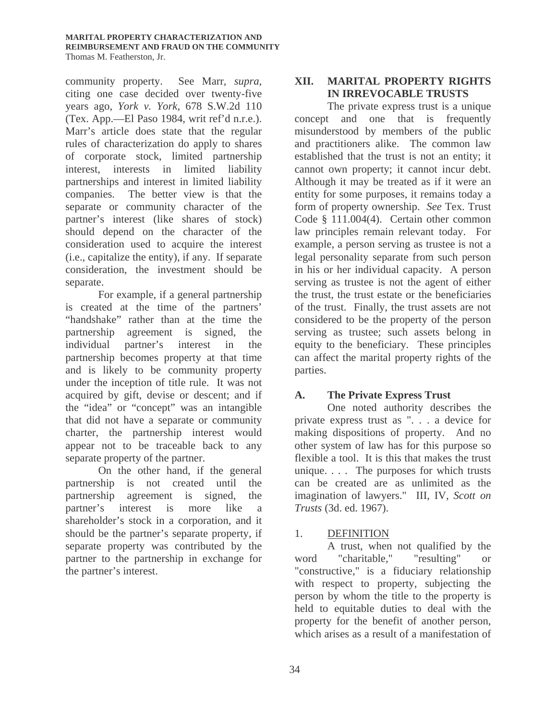#### **MARITAL PROPERTY CHARACTERIZATION AND REIMBURSEMENT AND FRAUD ON THE COMMUNITY** Thomas M. Featherston, Jr.

community property. See Marr*, supra,* citing one case decided over twenty-five years ago, *York v. York*, 678 S.W.2d 110 (Tex. App.—El Paso 1984, writ ref'd n.r.e.). Marr's article does state that the regular rules of characterization do apply to shares of corporate stock, limited partnership interest, interests in limited liability partnerships and interest in limited liability companies. The better view is that the separate or community character of the partner's interest (like shares of stock) should depend on the character of the consideration used to acquire the interest (i.e., capitalize the entity), if any. If separate consideration, the investment should be separate.

For example, if a general partnership is created at the time of the partners' "handshake" rather than at the time the partnership agreement is signed, the individual partner's interest in the partnership becomes property at that time and is likely to be community property under the inception of title rule. It was not acquired by gift, devise or descent; and if the "idea" or "concept" was an intangible that did not have a separate or community charter, the partnership interest would appear not to be traceable back to any separate property of the partner.

On the other hand, if the general partnership is not created until the partnership agreement is signed, the partner's interest is more like a shareholder's stock in a corporation, and it should be the partner's separate property, if separate property was contributed by the partner to the partnership in exchange for the partner's interest.

# **XII. MARITAL PROPERTY RIGHTS IN IRREVOCABLE TRUSTS**

The private express trust is a unique concept and one that is frequently misunderstood by members of the public and practitioners alike. The common law established that the trust is not an entity; it cannot own property; it cannot incur debt. Although it may be treated as if it were an entity for some purposes, it remains today a form of property ownership. *See* Tex. Trust Code § 111.004(4). Certain other common law principles remain relevant today. For example, a person serving as trustee is not a legal personality separate from such person in his or her individual capacity. A person serving as trustee is not the agent of either the trust, the trust estate or the beneficiaries of the trust. Finally, the trust assets are not considered to be the property of the person serving as trustee; such assets belong in equity to the beneficiary. These principles can affect the marital property rights of the parties.

# **A. The Private Express Trust**

One noted authority describes the private express trust as ". . . a device for making dispositions of property. And no other system of law has for this purpose so flexible a tool. It is this that makes the trust unique. . . . The purposes for which trusts can be created are as unlimited as the imagination of lawyers." III, IV, *Scott on Trusts* (3d. ed. 1967).

# 1. DEFINITION

A trust, when not qualified by the word "charitable," "resulting" or "constructive," is a fiduciary relationship with respect to property, subjecting the person by whom the title to the property is held to equitable duties to deal with the property for the benefit of another person, which arises as a result of a manifestation of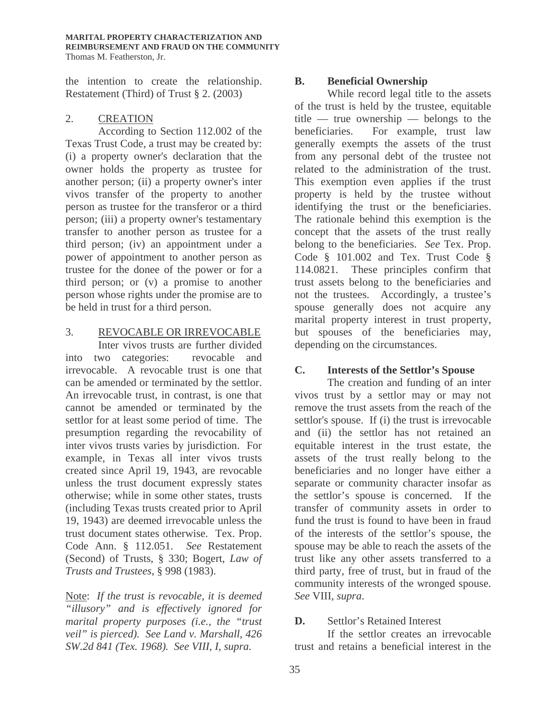the intention to create the relationship. Restatement (Third) of Trust § 2. (2003)

# 2. CREATION

According to Section 112.002 of the Texas Trust Code, a trust may be created by: (i) a property owner's declaration that the owner holds the property as trustee for another person; (ii) a property owner's inter vivos transfer of the property to another person as trustee for the transferor or a third person; (iii) a property owner's testamentary transfer to another person as trustee for a third person; (iv) an appointment under a power of appointment to another person as trustee for the donee of the power or for a third person; or (v) a promise to another person whose rights under the promise are to be held in trust for a third person.

#### 3. REVOCABLE OR IRREVOCABLE

Inter vivos trusts are further divided into two categories: revocable and irrevocable. A revocable trust is one that can be amended or terminated by the settlor. An irrevocable trust, in contrast, is one that cannot be amended or terminated by the settlor for at least some period of time. The presumption regarding the revocability of inter vivos trusts varies by jurisdiction. For example, in Texas all inter vivos trusts created since April 19, 1943, are revocable unless the trust document expressly states otherwise; while in some other states, trusts (including Texas trusts created prior to April 19, 1943) are deemed irrevocable unless the trust document states otherwise. Tex. Prop. Code Ann. § 112.051. *See* Restatement (Second) of Trusts, § 330; Bogert, *Law of Trusts and Trustees*, § 998 (1983).

Note: *If the trust is revocable, it is deemed "illusory" and is effectively ignored for marital property purposes (i.e., the "trust veil" is pierced). See Land v. Marshall, 426 SW.2d 841 (Tex. 1968). See VIII, I, supra.* 

# **B. Beneficial Ownership**

While record legal title to the assets of the trust is held by the trustee, equitable title — true ownership — belongs to the beneficiaries. For example, trust law generally exempts the assets of the trust from any personal debt of the trustee not related to the administration of the trust. This exemption even applies if the trust property is held by the trustee without identifying the trust or the beneficiaries. The rationale behind this exemption is the concept that the assets of the trust really belong to the beneficiaries. *See* Tex. Prop. Code § 101.002 and Tex. Trust Code § 114.0821. These principles confirm that trust assets belong to the beneficiaries and not the trustees. Accordingly, a trustee's spouse generally does not acquire any marital property interest in trust property, but spouses of the beneficiaries may, depending on the circumstances.

# **C. Interests of the Settlor's Spouse**

The creation and funding of an inter vivos trust by a settlor may or may not remove the trust assets from the reach of the settlor's spouse. If (i) the trust is irrevocable and (ii) the settlor has not retained an equitable interest in the trust estate, the assets of the trust really belong to the beneficiaries and no longer have either a separate or community character insofar as the settlor's spouse is concerned. If the transfer of community assets in order to fund the trust is found to have been in fraud of the interests of the settlor's spouse, the spouse may be able to reach the assets of the trust like any other assets transferred to a third party, free of trust, but in fraud of the community interests of the wronged spouse. *See* VIII, *supra*.

# **D.** Settlor's Retained Interest

If the settlor creates an irrevocable trust and retains a beneficial interest in the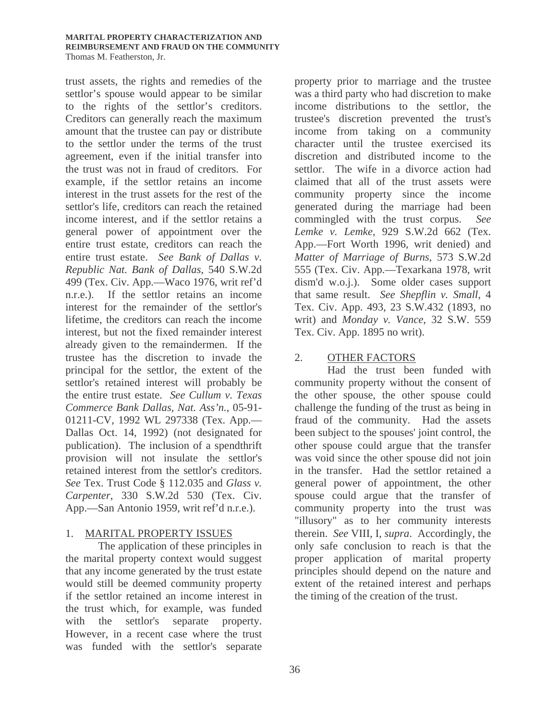trust assets, the rights and remedies of the settlor's spouse would appear to be similar to the rights of the settlor's creditors. Creditors can generally reach the maximum amount that the trustee can pay or distribute to the settlor under the terms of the trust agreement, even if the initial transfer into the trust was not in fraud of creditors. For example, if the settlor retains an income interest in the trust assets for the rest of the settlor's life, creditors can reach the retained income interest, and if the settlor retains a general power of appointment over the entire trust estate, creditors can reach the entire trust estate. *See Bank of Dallas v. Republic Nat. Bank of Dallas*, 540 S.W.2d 499 (Tex. Civ. App.—Waco 1976, writ ref'd n.r.e.). If the settlor retains an income interest for the remainder of the settlor's lifetime, the creditors can reach the income interest, but not the fixed remainder interest already given to the remaindermen. If the trustee has the discretion to invade the principal for the settlor, the extent of the settlor's retained interest will probably be the entire trust estate. *See Cullum v. Texas Commerce Bank Dallas, Nat. Ass'n.*, 05-91- 01211-CV, 1992 WL 297338 (Tex. App.— Dallas Oct. 14, 1992) (not designated for publication). The inclusion of a spendthrift provision will not insulate the settlor's retained interest from the settlor's creditors. *See* Tex. Trust Code § 112.035 and *Glass v. Carpenter*, 330 S.W.2d 530 (Tex. Civ. App.—San Antonio 1959, writ ref'd n.r.e.).

# 1. MARITAL PROPERTY ISSUES

 The application of these principles in the marital property context would suggest that any income generated by the trust estate would still be deemed community property if the settlor retained an income interest in the trust which, for example, was funded with the settlor's separate property. However, in a recent case where the trust was funded with the settlor's separate

property prior to marriage and the trustee was a third party who had discretion to make income distributions to the settlor, the trustee's discretion prevented the trust's income from taking on a community character until the trustee exercised its discretion and distributed income to the settlor. The wife in a divorce action had claimed that all of the trust assets were community property since the income generated during the marriage had been commingled with the trust corpus. *See Lemke v. Lemke*, 929 S.W.2d 662 (Tex. App.—Fort Worth 1996, writ denied) and *Matter of Marriage of Burns*, 573 S.W.2d 555 (Tex. Civ. App.—Texarkana 1978, writ dism'd w.o.j.). Some older cases support that same result. *See Shepflin v. Small,* 4 Tex. Civ. App. 493, 23 S.W.432 (1893, no writ) and *Monday v. Vance*, 32 S.W. 559 Tex. Civ. App. 1895 no writ).

# 2. OTHER FACTORS

Had the trust been funded with community property without the consent of the other spouse, the other spouse could challenge the funding of the trust as being in fraud of the community. Had the assets been subject to the spouses' joint control, the other spouse could argue that the transfer was void since the other spouse did not join in the transfer. Had the settlor retained a general power of appointment, the other spouse could argue that the transfer of community property into the trust was "illusory" as to her community interests therein. *See* VIII, I, *supra*. Accordingly, the only safe conclusion to reach is that the proper application of marital property principles should depend on the nature and extent of the retained interest and perhaps the timing of the creation of the trust.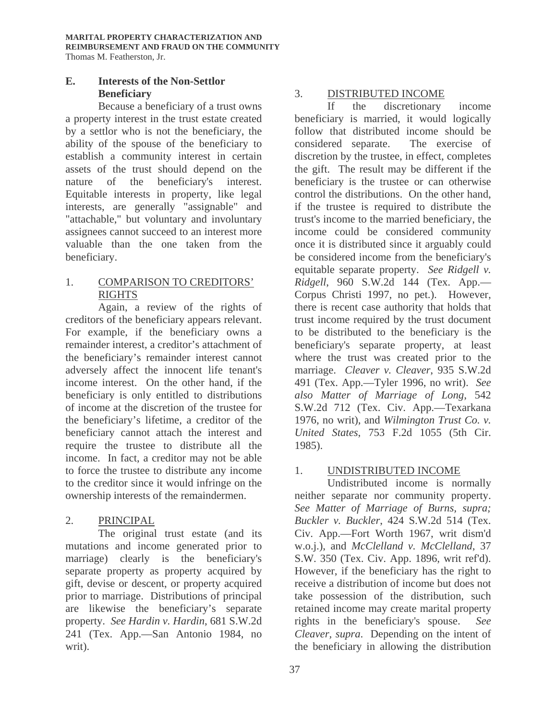# **E. Interests of the Non-Settlor Beneficiary**

Because a beneficiary of a trust owns a property interest in the trust estate created by a settlor who is not the beneficiary, the ability of the spouse of the beneficiary to establish a community interest in certain assets of the trust should depend on the nature of the beneficiary's interest. Equitable interests in property, like legal interests, are generally "assignable" and "attachable," but voluntary and involuntary assignees cannot succeed to an interest more valuable than the one taken from the beneficiary.

# 1. COMPARISON TO CREDITORS' RIGHTS

Again, a review of the rights of creditors of the beneficiary appears relevant. For example, if the beneficiary owns a remainder interest, a creditor's attachment of the beneficiary's remainder interest cannot adversely affect the innocent life tenant's income interest. On the other hand, if the beneficiary is only entitled to distributions of income at the discretion of the trustee for the beneficiary's lifetime, a creditor of the beneficiary cannot attach the interest and require the trustee to distribute all the income. In fact, a creditor may not be able to force the trustee to distribute any income to the creditor since it would infringe on the ownership interests of the remaindermen.

# 2. PRINCIPAL

The original trust estate (and its mutations and income generated prior to marriage) clearly is the beneficiary's separate property as property acquired by gift, devise or descent, or property acquired prior to marriage. Distributions of principal are likewise the beneficiary's separate property. *See Hardin v. Hardin*, 681 S.W.2d 241 (Tex. App.—San Antonio 1984, no writ).

# 3. DISTRIBUTED INCOME

If the discretionary income beneficiary is married, it would logically follow that distributed income should be considered separate. The exercise of discretion by the trustee, in effect, completes the gift. The result may be different if the beneficiary is the trustee or can otherwise control the distributions. On the other hand, if the trustee is required to distribute the trust's income to the married beneficiary, the income could be considered community once it is distributed since it arguably could be considered income from the beneficiary's equitable separate property. *See Ridgell v. Ridgell*, 960 S.W.2d 144 (Tex. App.— Corpus Christi 1997, no pet.). However, there is recent case authority that holds that trust income required by the trust document to be distributed to the beneficiary is the beneficiary's separate property, at least where the trust was created prior to the marriage. *Cleaver v. Cleaver*, 935 S.W.2d 491 (Tex. App.—Tyler 1996, no writ). *See also Matter of Marriage of Long*, 542 S.W.2d 712 (Tex. Civ. App.—Texarkana 1976, no writ), and *Wilmington Trust Co. v. United States*, 753 F.2d 1055 (5th Cir. 1985).

# 1. UNDISTRIBUTED INCOME

 Undistributed income is normally neither separate nor community property. *See Matter of Marriage of Burns, supra; Buckler v. Buckler*, 424 S.W.2d 514 (Tex. Civ. App.—Fort Worth 1967, writ dism'd w.o.j.), and *McClelland v. McClelland*, 37 S.W. 350 (Tex. Civ. App. 1896, writ ref'd). However, if the beneficiary has the right to receive a distribution of income but does not take possession of the distribution, such retained income may create marital property rights in the beneficiary's spouse. *See Cleaver, supra*. Depending on the intent of the beneficiary in allowing the distribution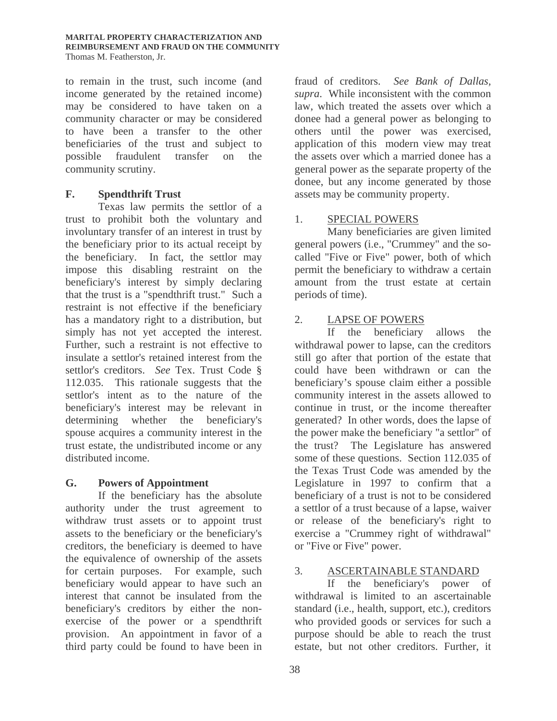to remain in the trust, such income (and income generated by the retained income) may be considered to have taken on a community character or may be considered to have been a transfer to the other beneficiaries of the trust and subject to possible fraudulent transfer on the community scrutiny.

# **F. Spendthrift Trust**

Texas law permits the settlor of a trust to prohibit both the voluntary and involuntary transfer of an interest in trust by the beneficiary prior to its actual receipt by the beneficiary. In fact, the settlor may impose this disabling restraint on the beneficiary's interest by simply declaring that the trust is a "spendthrift trust." Such a restraint is not effective if the beneficiary has a mandatory right to a distribution, but simply has not yet accepted the interest. Further, such a restraint is not effective to insulate a settlor's retained interest from the settlor's creditors. *See* Tex. Trust Code § 112.035. This rationale suggests that the settlor's intent as to the nature of the beneficiary's interest may be relevant in determining whether the beneficiary's spouse acquires a community interest in the trust estate, the undistributed income or any distributed income.

# **G. Powers of Appointment**

 If the beneficiary has the absolute authority under the trust agreement to withdraw trust assets or to appoint trust assets to the beneficiary or the beneficiary's creditors, the beneficiary is deemed to have the equivalence of ownership of the assets for certain purposes. For example, such beneficiary would appear to have such an interest that cannot be insulated from the beneficiary's creditors by either the nonexercise of the power or a spendthrift provision. An appointment in favor of a third party could be found to have been in

fraud of creditors. *See Bank of Dallas, supra*. While inconsistent with the common law, which treated the assets over which a donee had a general power as belonging to others until the power was exercised, application of this modern view may treat the assets over which a married donee has a general power as the separate property of the donee, but any income generated by those assets may be community property.

# 1. SPECIAL POWERS

Many beneficiaries are given limited general powers (i.e., "Crummey" and the socalled "Five or Five" power, both of which permit the beneficiary to withdraw a certain amount from the trust estate at certain periods of time).

# 2. LAPSE OF POWERS

If the beneficiary allows the withdrawal power to lapse, can the creditors still go after that portion of the estate that could have been withdrawn or can the beneficiary's spouse claim either a possible community interest in the assets allowed to continue in trust, or the income thereafter generated? In other words, does the lapse of the power make the beneficiary "a settlor" of the trust? The Legislature has answered some of these questions. Section 112.035 of the Texas Trust Code was amended by the Legislature in 1997 to confirm that a beneficiary of a trust is not to be considered a settlor of a trust because of a lapse, waiver or release of the beneficiary's right to exercise a "Crummey right of withdrawal" or "Five or Five" power.

# 3. ASCERTAINABLE STANDARD

If the beneficiary's power of withdrawal is limited to an ascertainable standard (i.e., health, support, etc.), creditors who provided goods or services for such a purpose should be able to reach the trust estate, but not other creditors. Further, it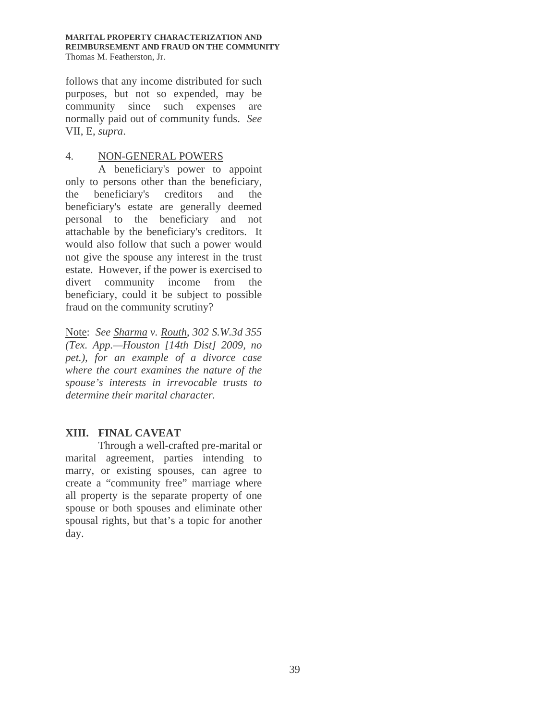**MARITAL PROPERTY CHARACTERIZATION AND REIMBURSEMENT AND FRAUD ON THE COMMUNITY** Thomas M. Featherston, Jr.

follows that any income distributed for such purposes, but not so expended, may be community since such expenses are normally paid out of community funds. *See* VII, E, *supra*.

#### 4. NON-GENERAL POWERS

A beneficiary's power to appoint only to persons other than the beneficiary, the beneficiary's creditors and the beneficiary's estate are generally deemed personal to the beneficiary and not attachable by the beneficiary's creditors. It would also follow that such a power would not give the spouse any interest in the trust estate. However, if the power is exercised to divert community income from the beneficiary, could it be subject to possible fraud on the community scrutiny?

Note: *See Sharma v. Routh*, *302 S.W.3d 355 (Tex. App.—Houston [14th Dist] 2009, no pet.), for an example of a divorce case where the court examines the nature of the spouse's interests in irrevocable trusts to determine their marital character.* 

# **XIII. FINAL CAVEAT**

Through a well-crafted pre-marital or marital agreement, parties intending to marry, or existing spouses, can agree to create a "community free" marriage where all property is the separate property of one spouse or both spouses and eliminate other spousal rights, but that's a topic for another day.